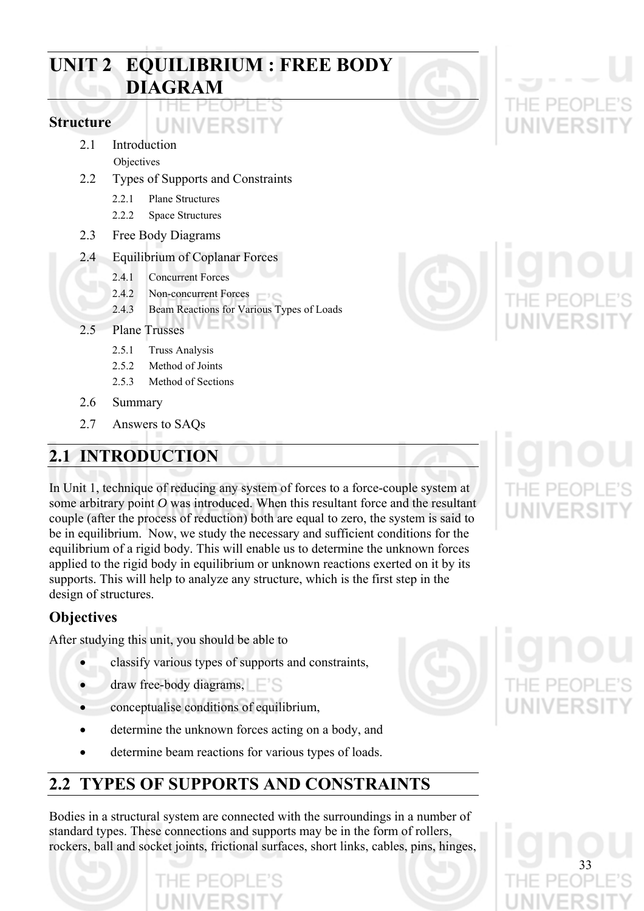# **UNIT 2 EQUILIBRIUM : FREE BODY DIAGRAM**

UNIVERSIT

# **Structure**

- 2.1 Introduction
	- **Objectives**
- 2.2 Types of Supports and Constraints
	- 2.2.1 Plane Structures
	- 2.2.2 Space Structures
- 2.3 Free Body Diagrams
- 2.4 Equilibrium of Coplanar Forces
	- 2.4.1 Concurrent Forces
	- 2.4.2 Non-concurrent Forces
	- 2.4.3 Beam Reactions for Various Types of Loads

**K**ol

- 2.5 Plane Trusses
	- 2.5.1 Truss Analysis
	- 2.5.2 Method of Joints
	- 2.5.3 Method of Sections
- 2.6 Summary
- 2.7 Answers to SAQs

# **2.1 INTRODUCTION**

In Unit 1, technique of reducing any system of forces to a force-couple system at some arbitrary point *O* was introduced. When this resultant force and the resultant couple (after the process of reduction) both are equal to zero, the system is said to be in equilibrium. Now, we study the necessary and sufficient conditions for the equilibrium of a rigid body. This will enable us to determine the unknown forces applied to the rigid body in equilibrium or unknown reactions exerted on it by its supports. This will help to analyze any structure, which is the first step in the design of structures.

# **Objectives**

After studying this unit, you should be able to

- classify various types of supports and constraints,
- draw free-body diagrams,
- conceptualise conditions of equilibrium,
- determine the unknown forces acting on a body, and
- determine beam reactions for various types of loads.

# **2.2 TYPES OF SUPPORTS AND CONSTRAINTS**

Bodies in a structural system are connected with the surroundings in a number of standard types. These connections and supports may be in the form of rollers, rockers, ball and socket joints, frictional surfaces, short links, cables, pins, hinges,





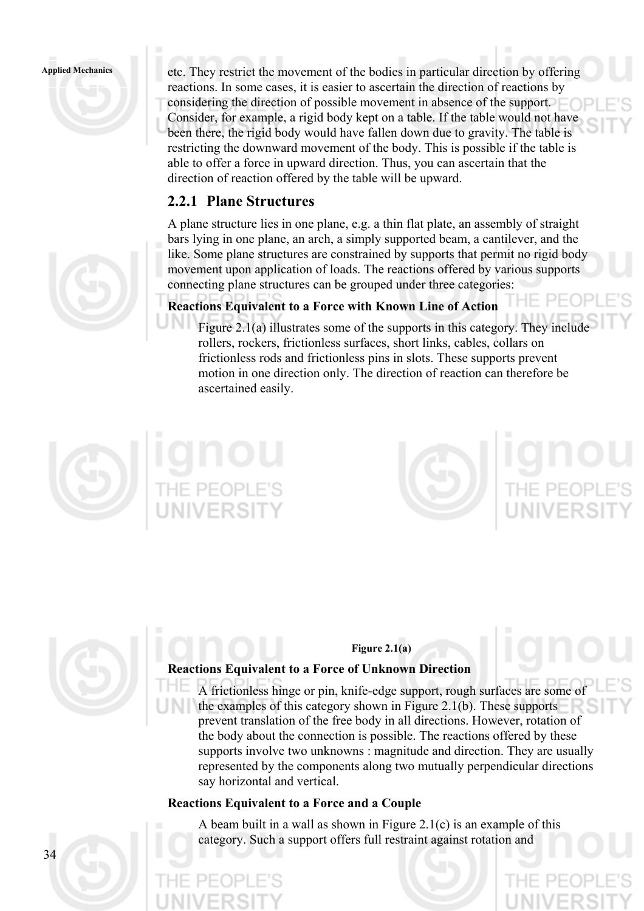

**Applied Mechanics** etc. They restrict the movement of the bodies in particular direction by offering reactions. In some cases, it is easier to ascertain the direction of reactions by considering the direction of possible movement in absence of the support. Consider, for example, a rigid body kept on a table. If the table would not have been there, the rigid body would have fallen down due to gravity. The table is restricting the downward movement of the body. This is possible if the table is able to offer a force in upward direction. Thus, you can ascertain that the direction of reaction offered by the table will be upward.

# **2.2.1 Plane Structures**

A plane structure lies in one plane, e.g. a thin flat plate, an assembly of straight bars lying in one plane, an arch, a simply supported beam, a cantilever, and the like. Some plane structures are constrained by supports that permit no rigid body movement upon application of loads. The reactions offered by various supports connecting plane structures can be grouped under three categories:

# **Reactions Equivalent to a Force with Known Line of Action**

Figure 2.1(a) illustrates some of the supports in this category. They include rollers, rockers, frictionless surfaces, short links, cables, collars on frictionless rods and frictionless pins in slots. These supports prevent motion in one direction only. The direction of reaction can therefore be ascertained easily.







# **Figure 2.1(a)**

# **Reactions Equivalent to a Force of Unknown Direction**

A frictionless hinge or pin, knife-edge support, rough surfaces are some of the examples of this category shown in Figure 2.1(b). These supports prevent translation of the free body in all directions. However, rotation of the body about the connection is possible. The reactions offered by these supports involve two unknowns : magnitude and direction. They are usually represented by the components along two mutually perpendicular directions say horizontal and vertical.

# **Reactions Equivalent to a Force and a Couple**

A beam built in a wall as shown in Figure 2.1(c) is an example of this category. Such a support offers full restraint against rotation and

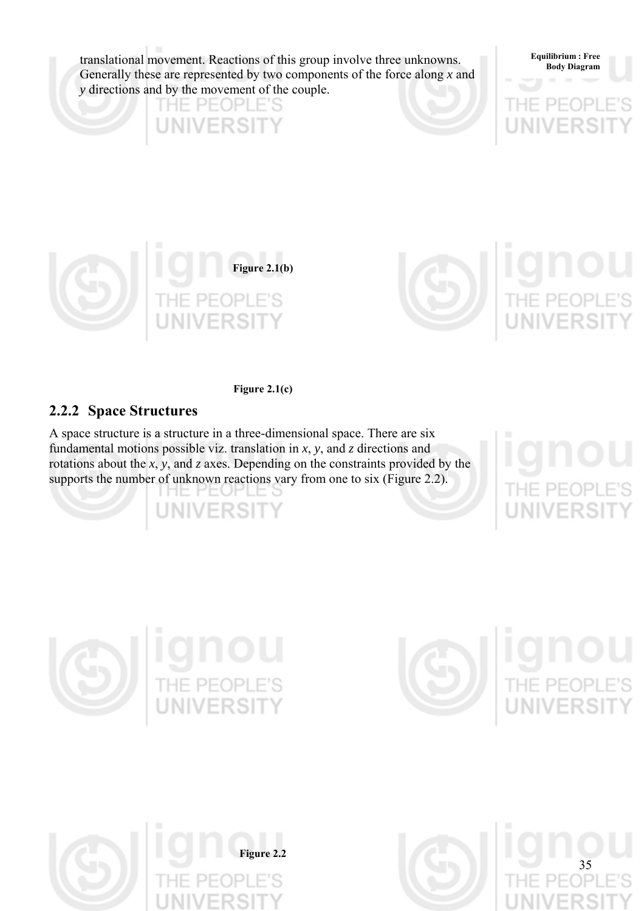translational movement. Reactions of this group involve three unknowns. Generally these are represented by two components of the force along *x* and *y* directions and by the movement of the couple.



**UNIVERSIT** 



**Figure 2.1(c)** 

# **2.2.2 Space Structures**

A space structure is a structure in a three-dimensional space. There are six fundamental motions possible viz. translation in *x*, *y*, and *z* directions and rotations about the *x*, *y*, and *z* axes. Depending on the constraints provided by the supports the number of unknown reactions vary from one to six (Figure 2.2).

> THE REORTE*.*2 **UNIVERSIT**

**Equilibrium : Free** 







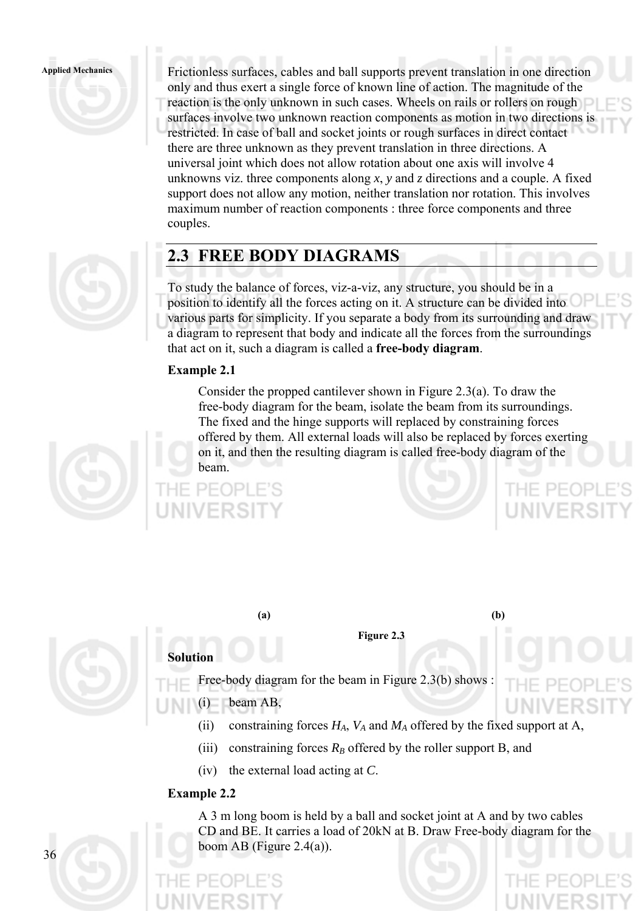

couples.

**Applied Mechanics** Frictionless surfaces, cables and ball supports prevent translation in one direction only and thus exert a single force of known line of action. The magnitude of the reaction is the only unknown in such cases. Wheels on rails or rollers on rough surfaces involve two unknown reaction components as motion in two directions is restricted. In case of ball and socket joints or rough surfaces in direct contact there are three unknown as they prevent translation in three directions. A universal joint which does not allow rotation about one axis will involve 4 unknowns viz. three components along *x*, *y* and *z* directions and a couple. A fixed support does not allow any motion, neither translation nor rotation. This involves maximum number of reaction components : three force components and three

# **2.3 FREE BODY DIAGRAMS**

To study the balance of forces, viz-a-viz, any structure, you should be in a position to identify all the forces acting on it. A structure can be divided into various parts for simplicity. If you separate a body from its surrounding and draw a diagram to represent that body and indicate all the forces from the surroundings that act on it, such a diagram is called a **free-body diagram**.

# **Example 2.1**

Consider the propped cantilever shown in Figure 2.3(a). To draw the free-body diagram for the beam, isolate the beam from its surroundings. The fixed and the hinge supports will replaced by constraining forces offered by them. All external loads will also be replaced by forces exerting on it, and then the resulting diagram is called free-body diagram of the beam.



**Figure 2.3**

**(a) (b)** 

HE PEOP



Free-body diagram for the beam in Figure 2.3(b) shows :

(i) beam AB,

- (ii) constraining forces  $H_A$ ,  $V_A$  and  $M_A$  offered by the fixed support at A,
- (iii) constraining forces  $R_B$  offered by the roller support B, and
- (iv) the external load acting at *C*.

# **Example 2.2**

**Solution** 

A 3 m long boom is held by a ball and socket joint at A and by two cables CD and BE. It carries a load of 20kN at B. Draw Free-body diagram for the boom AB (Figure 2.4(a)).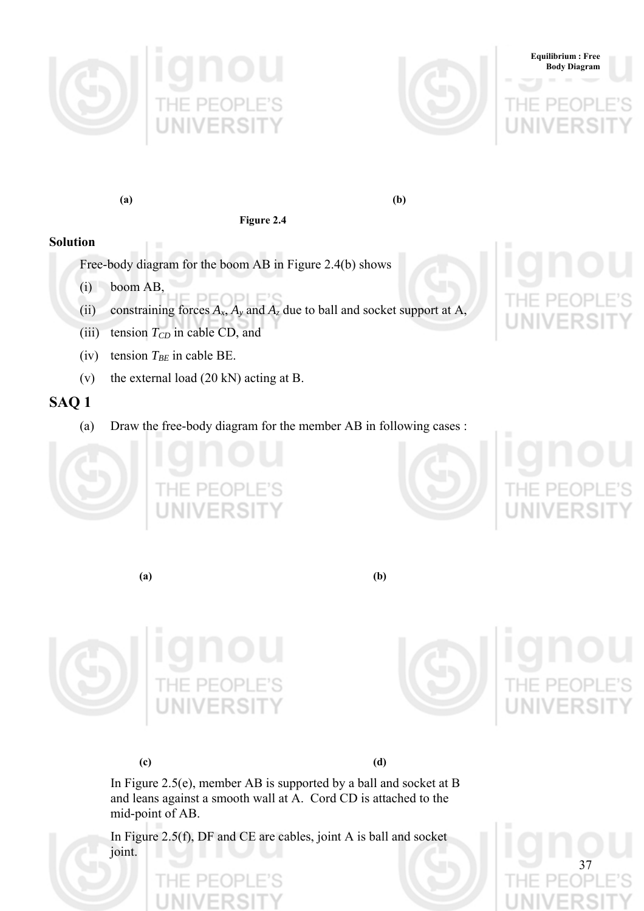





**Figure 2.4** 

# **Solution**

Free-body diagram for the boom AB in Figure 2.4(b) shows

- (i) boom AB,
- (ii) constraining forces  $A_x$ ,  $A_y$  and  $A_z$  due to ball and socket support at A,
- (iii) tension  $T_{CD}$  in cable CD, and
- (iv) tension  $T_{BE}$  in cable BE.
- (v) the external load (20 kN) acting at B.

# **SAQ 1**

(a) Draw the free-body diagram for the member AB in following cases :





**Equilibrium : Free Body Diagram**

**(a) (b)** 





37

**(c) (d)** 

In Figure 2.5(e), member AB is supported by a ball and socket at B and leans against a smooth wall at A. Cord CD is attached to the mid-point of AB.

In Figure 2.5(f), DF and CE are cables, joint A is ball and socket joint.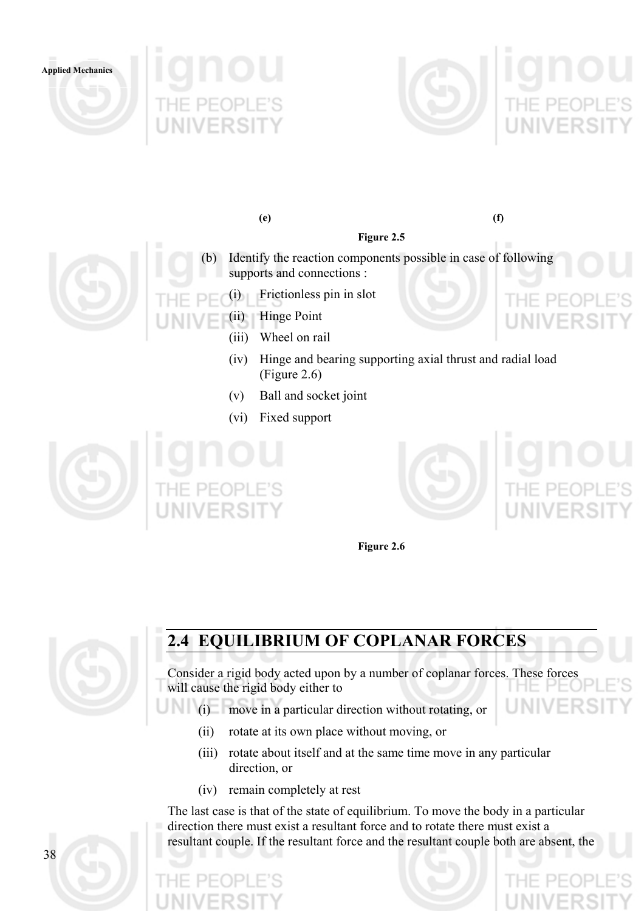





**(e) (f)** 



**Figure 2.5** 

- Frictionless pin in slot
	- (ii) Hinge Point
		- (iii) Wheel on rail
		- (iv) Hinge and bearing supporting axial thrust and radial load (Figure 2.6)
		- (v) Ball and socket joint
		- (vi) Fixed support





**Figure 2.6** 



# **2.4 EQUILIBRIUM OF COPLANAR FORCES**

Consider a rigid body acted upon by a number of coplanar forces. These forces will cause the rigid body either to

(i) move in a particular direction without rotating, or

- (ii) rotate at its own place without moving, or
- (iii) rotate about itself and at the same time move in any particular direction, or
- (iv) remain completely at rest

The last case is that of the state of equilibrium. To move the body in a particular direction there must exist a resultant force and to rotate there must exist a resultant couple. If the resultant force and the resultant couple both are absent, the

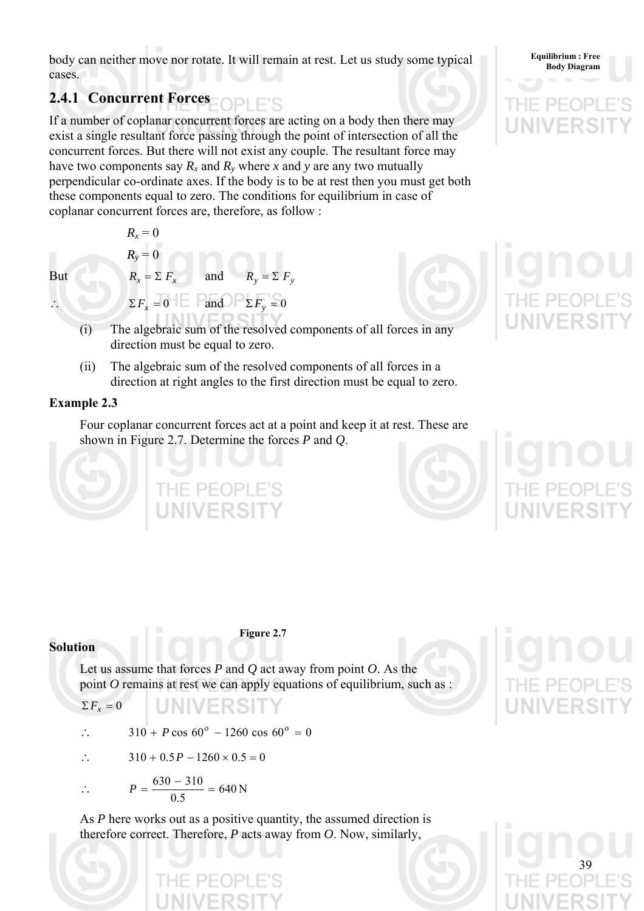**body can neither move nor rotate. It will remain at rest. Let us study some typical** Equilibrium: Free<br>Body Diagram cases.

# **2.4.1 Concurrent Forces**

If a number of coplanar concurrent forces are acting on a body then there may exist a single resultant force passing through the point of intersection of all the concurrent forces. But there will not exist any couple. The resultant force may have two components say  $R_x$  and  $R_y$  where x and y are any two mutually perpendicular co-ordinate axes. If the body is to be at rest then you must get both these components equal to zero. The conditions for equilibrium in case of coplanar concurrent forces are, therefore, as follow :

 $R_r = 0$  $R_{v} = 0$ But  $R_x = \sum F_x$  and  $\Sigma F_r = 0$  and  $\Sigma F_v = 0$ 



39

- (i) The algebraic sum of the resolved components of all forces in any direction must be equal to zero.
- (ii) The algebraic sum of the resolved components of all forces in a direction at right angles to the first direction must be equal to zero.

# **Example 2.3**

Four coplanar concurrent forces act at a point and keep it at rest. These are shown in Figure 2.7. Determine the forces *P* and *Q*.

## **Solution**

**Figure 2.7** 

Let us assume that forces *P* and *Q* act away from point *O*. As the point *O* remains at rest we can apply equations of equilibrium, such as :

$$
\Sigma F_x = 0
$$

$$
\therefore \qquad 310 + P \cos 60^{\circ} - 1260 \cos 60^{\circ} = 0
$$

E PEC

$$
\therefore \qquad 310 + 0.5P - 1260 \times 0.5 = 0
$$

$$
\therefore \qquad P = \frac{630 - 310}{0.5} = 640 \text{ N}
$$

As *P* here works out as a positive quantity, the assumed direction is therefore correct. Therefore, *P* acts away from *O*. Now, similarly,

**Equilibrium : Free**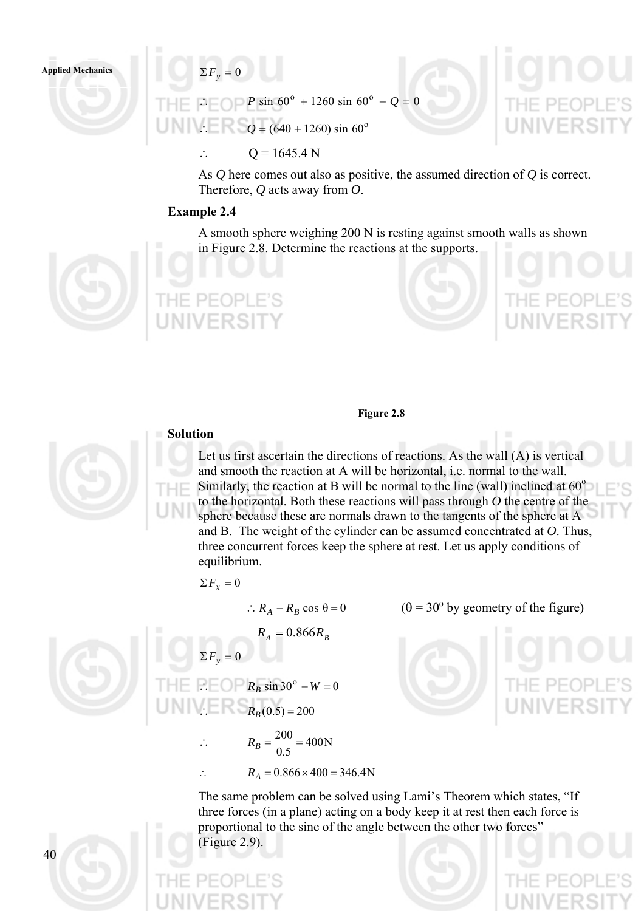$\Sigma F_v = 0$ 

 $P \sin 60^\circ + 1260 \sin 60^\circ - Q = 0$  $Q = (640 + 1260) \sin 60^\circ$ 

∴  $Q = 1645.4 N$ 

As *Q* here comes out also as positive, the assumed direction of *Q* is correct. Therefore, *Q* acts away from *O*.

## **Example 2.4**

A smooth sphere weighing 200 N is resting against smooth walls as shown in Figure 2.8. Determine the reactions at the supports.



**Applied Mechanics** 



# **Solution**

# Let us first ascertain the directions of reactions. As the wall (A) is vertical and smooth the reaction at A will be horizontal, i.e. normal to the wall. Similarly, the reaction at B will be normal to the line (wall) inclined at  $60^\circ$ to the horizontal. Both these reactions will pass through *O* the centre of the sphere because these are normals drawn to the tangents of the sphere at A and B. The weight of the cylinder can be assumed concentrated at *O*. Thus, three concurrent forces keep the sphere at rest. Let us apply conditions of equilibrium.

 $\theta = 30^{\circ}$  by geometry of the figure)

**Figure 2.8** 

$$
\Sigma F_x=0
$$

 $\therefore R_A - R_B \cos \theta = 0$ 



 $R_{A} = 0.866 R_{B}$  $\Sigma F_v = 0$  $\therefore$   $\bigcap$   $R_B$  sin 30°  $-W = 0$ ∴  $R_B(0.5) = 200$ 

$$
\therefore R_B = \frac{200}{0.5} = 400 \text{N}
$$

∴  $R_A = 0.866 \times 400 = 346.4N$ 

The same problem can be solved using Lami's Theorem which states, "If three forces (in a plane) acting on a body keep it at rest then each force is proportional to the sine of the angle between the other two forces" (Figure 2.9).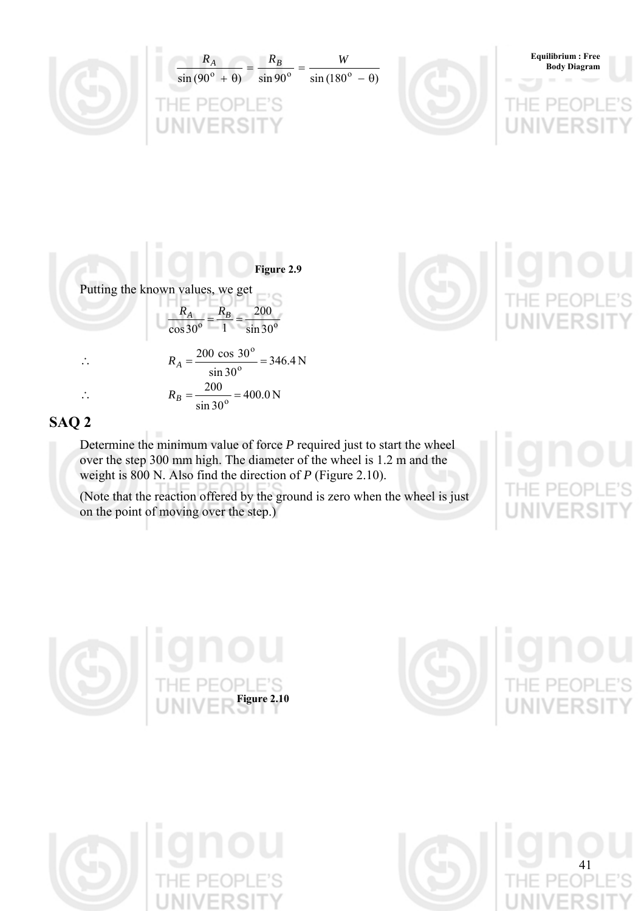

**Figure 2.9**  Putting the known values, we get  $^{\circ}$  1 sin 30<sup>o</sup>  $rac{R_A}{\cos 30^\circ} = \frac{R_B}{1} = \frac{200}{\sin 30^\circ}$ ∴  $R_A = \frac{200 \text{ cos } 30}{1} = 346.4 \text{ N}$  $\sin 30$ 200 cos 30 o o  $R_A = \frac{200 \cos 30}{400} =$  $R_B = \frac{200}{\lambda} = 400.0 \text{ N}$  $\sin 30$  $R_B = \frac{200}{\sin 30^\circ}$ 



# **SAQ 2**

Determine the minimum value of force *P* required just to start the wheel over the step 300 mm high. The diameter of the wheel is 1.2 m and the weight is 800 N. Also find the direction of *P* (Figure 2.10).

(Note that the reaction offered by the ground is zero when the wheel is just on the point of moving over the step.)







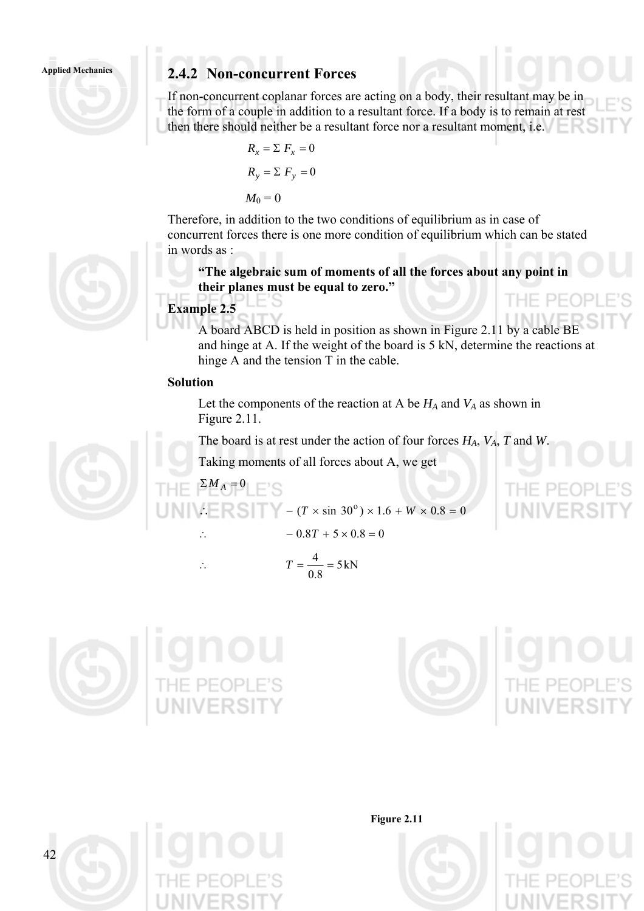# Applied Mechanics **2.4.2 Non-concurrent Forces**

If non-concurrent coplanar forces are acting on a body, their resultant may be in the form of a couple in addition to a resultant force. If a body is to remain at rest then there should neither be a resultant force nor a resultant moment, i.e.

$$
R_x = \sum F_x = 0
$$
  

$$
R_y = \sum F_y = 0
$$
  

$$
M_0 = 0
$$

Therefore, in addition to the two conditions of equilibrium as in case of concurrent forces there is one more condition of equilibrium which can be stated in words as :

**"The algebraic sum of moments of all the forces about any point in their planes must be equal to zero."** 

# **Example 2.5**

 $\sum M_A = 0$ 

A board ABCD is held in position as shown in Figure 2.11 by a cable BE and hinge at A. If the weight of the board is 5 kN, determine the reactions at hinge A and the tension T in the cable.

## **Solution**

Let the components of the reaction at A be  $H_A$  and  $V_A$  as shown in Figure 2.11.

The board is at rest under the action of four forces *HA*, *VA*, *T* and *W*.

Taking moments of all forces about A, we get

$$
\therefore \qquad \qquad = \qquad \qquad \left( T \times \sin 30^{\circ} \right) \times 1.6 + W
$$

$$
\mathcal{L} = \mathbb{R} \mathbb{S} \mathbb{I} \mathbb{I} \mathbb{I} - (T \times \sin 30^{\circ}) \times 1.6 + W \times 0.8 = 0
$$
  
- 0.8T + 5 \times 0.8 = 0

$$
\therefore T = \frac{4}{0.8} = 5 \,\text{kN}
$$







**Figure 2.11** 



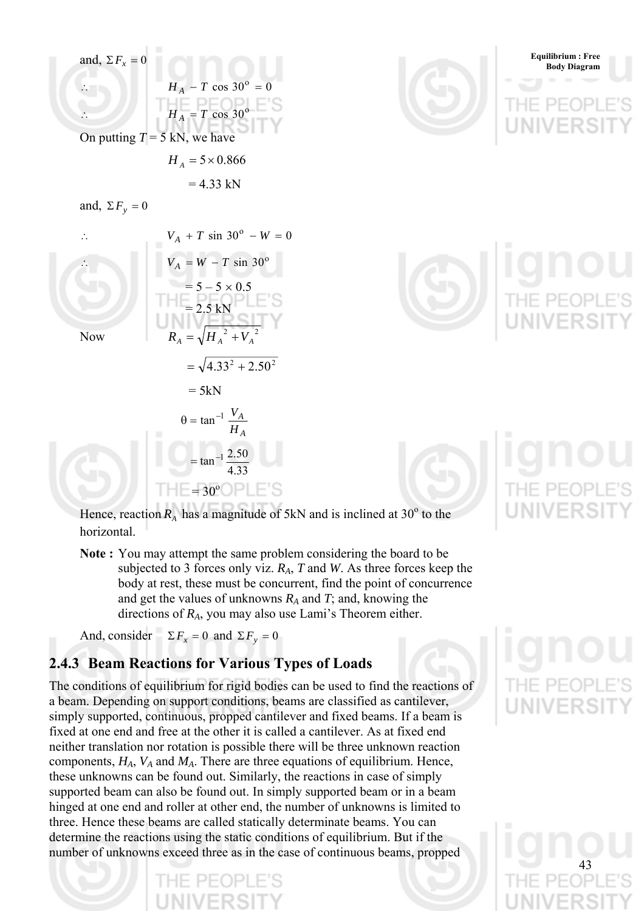







Hence, reaction  $R_A$  has a magnitude of 5kN and is inclined at 30<sup>o</sup> to the horizontal.

**Note :** You may attempt the same problem considering the board to be subjected to 3 forces only viz. *RA*, *T* and *W*. As three forces keep the body at rest, these must be concurrent, find the point of concurrence and get the values of unknowns *RA* and *T*; and, knowing the directions of *RA*, you may also use Lami's Theorem either.

And, consider  $\Sigma F_x = 0$  and  $\Sigma F_y = 0$ 

# **2.4.3 Beam Reactions for Various Types of Loads**

The conditions of equilibrium for rigid bodies can be used to find the reactions of a beam. Depending on support conditions, beams are classified as cantilever, simply supported, continuous, propped cantilever and fixed beams. If a beam is fixed at one end and free at the other it is called a cantilever. As at fixed end neither translation nor rotation is possible there will be three unknown reaction components,  $H_A$ ,  $V_A$  and  $M_A$ . There are three equations of equilibrium. Hence, these unknowns can be found out. Similarly, the reactions in case of simply supported beam can also be found out. In simply supported beam or in a beam hinged at one end and roller at other end, the number of unknowns is limited to three. Hence these beams are called statically determinate beams. You can determine the reactions using the static conditions of equilibrium. But if the number of unknowns exceed three as in the case of continuous beams, propped

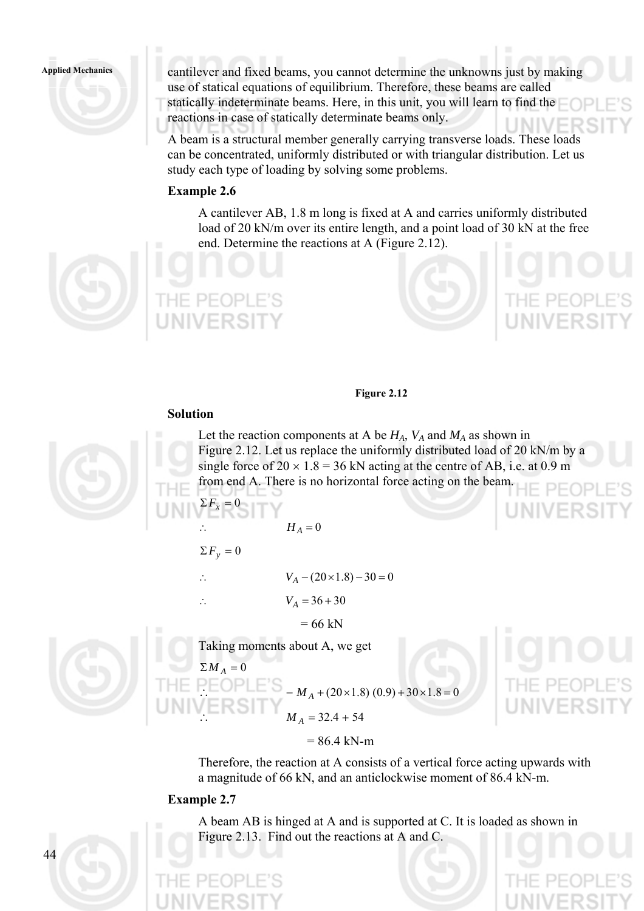## **Applied Mechanics**

cantilever and fixed beams, you cannot determine the unknowns just by making use of statical equations of equilibrium. Therefore, these beams are called statically indeterminate beams. Here, in this unit, you will learn to find the reactions in case of statically determinate beams only.

A beam is a structural member generally carrying transverse loads. These loads can be concentrated, uniformly distributed or with triangular distribution. Let us study each type of loading by solving some problems.

## **Example 2.6**

A cantilever AB, 1.8 m long is fixed at A and carries uniformly distributed load of 20 kN/m over its entire length, and a point load of 30 kN at the free end. Determine the reactions at A (Figure 2.12).



## **Figure 2.12**

## **Solution**

Let the reaction components at A be  $H_A$ ,  $V_A$  and  $M_A$  as shown in Figure 2.12. Let us replace the uniformly distributed load of 20 kN/m by a single force of  $20 \times 1.8 = 36$  kN acting at the centre of AB, i.e. at 0.9 m from end A. There is no horizontal force acting on the beam.

 $H_A = 0$ 

$$
\Sigma F_y = 0
$$

 $\Sigma F_x$ 

∴  $V_A - (20 \times 1.8) - 30 = 0$ 

∴  $V_A = 36 + 30$ 

 $= 66$  kN

Taking moments about A, we get

$$
\Sigma M_A = 0
$$
  
THE PEDPLE'S  

$$
M_A + (20 \times 1.8) (0.9) + 30 \times 1.8 = 0
$$
  

$$
M_A = 32.4 + 54
$$



Therefore, the reaction at A consists of a vertical force acting upwards with a magnitude of 66 kN, and an anticlockwise moment of 86.4 kN-m.

## **Example 2.7**

 $\overline{44}$ 

A beam AB is hinged at A and is supported at C. It is loaded as shown in Figure 2.13. Find out the reactions at A and C.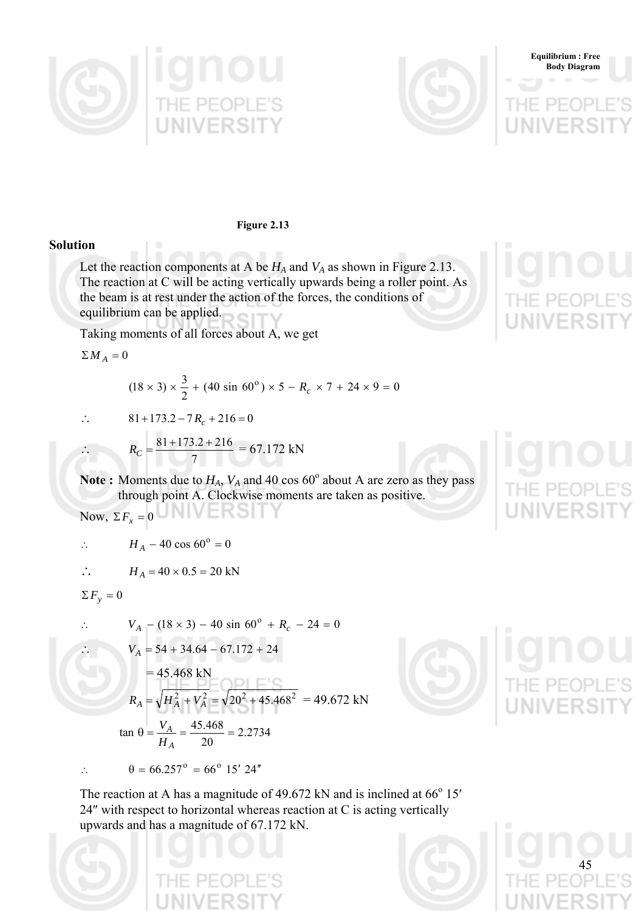





**Figure 2.13** 

## **Solution**

Let the reaction components at A be  $H_A$  and  $V_A$  as shown in Figure 2.13. The reaction at C will be acting vertically upwards being a roller point. As the beam is at rest under the action of the forces, the conditions of equilibrium can be applied.

Taking moments of all forces about A, we get

 $\sum M_A = 0$ 

∴

 $(18 \times 3) \times \frac{3}{2} + (40 \sin 60^\circ) \times 5 - R_c \times 7 + 24 \times 9 = 0$ 

∴  $81+173.2-7R_c+216=0$ 

$$
R_C = \frac{81 + 173.2 + 216}{7} = 67.172 \text{ kN}
$$

Note: Moments due to  $H_A$ ,  $V_A$  and 40 cos 60 $^{\circ}$  about A are zero as they pass through point A. Clockwise moments are taken as positive.

Now,  $\Sigma F_x = 0$ 

$$
\therefore H_A - 40 \cos 60^\circ = 0
$$

$$
\therefore H_A = 40 \times 0.5 = 20 \text{ kN}
$$

$$
\Sigma F_y = 0
$$

∴ 
$$
V_A - (18 \times 3) - 40 \sin 60^\circ + R_c - 24 = 0
$$
  
\n∴  $V_A = 54 + 34.64 - 67.172 + 24$   
\n $= 45.468 \text{ kN}$   
\n $R_A = \sqrt{H_A^2 + V_A^2} = \sqrt{20^2 + 45.468^2} = 49.672 \text{ kN}$   
\n $\tan \theta = \frac{V_A}{H_A} = \frac{45.468}{20} = 2.2734$ 

∴  $\theta = 66.257$ <sup>o</sup> = 66<sup>o</sup> 15′ 24″



45

The reaction at A has a magnitude of 49.672 kN and is inclined at  $66^{\circ}$  15' 24″ with respect to horizontal whereas reaction at C is acting vertically upwards and has a magnitude of 67.172 kN.



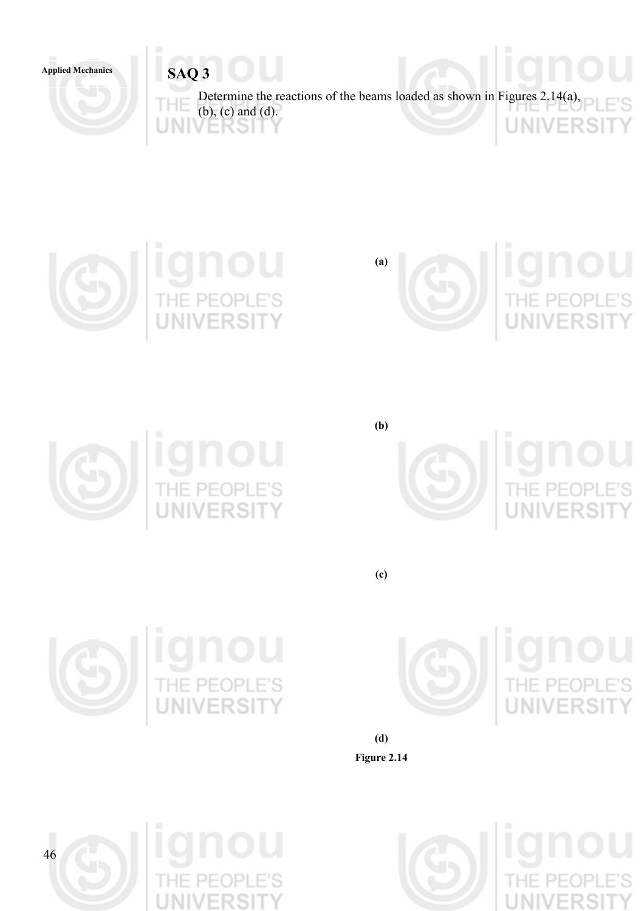# Applied Mechanics **SAQ 3**













**(c)** 

**(b)** 



E'S



) U<br>Le's<br>NTV ION<br>THE PEOL

**(d) Figure 2.14** 





PE(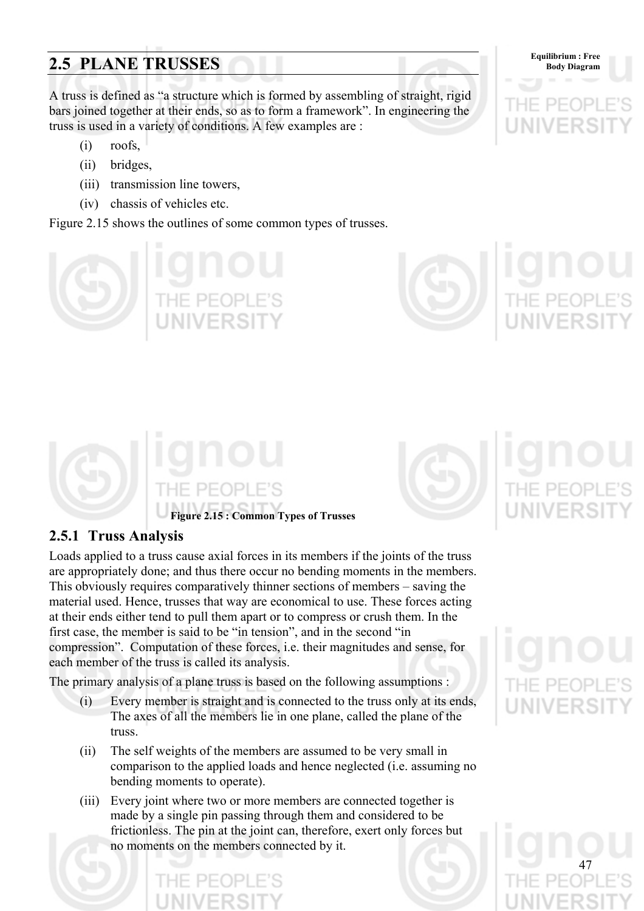# **Equilibrium : Free** Equilibrium : Free Body Diagram

A truss is defined as "a structure which is formed by assembling of straight, rigid bars joined together at their ends, so as to form a framework". In engineering the truss is used in a variety of conditions. A few examples are :

- (i) roofs,
- (ii) bridges,
- (iii) transmission line towers,
- (iv) chassis of vehicles etc.

Figure 2.15 shows the outlines of some common types of trusses.









# **2.5.1 Truss Analysis**

Loads applied to a truss cause axial forces in its members if the joints of the truss are appropriately done; and thus there occur no bending moments in the members. This obviously requires comparatively thinner sections of members – saving the material used. Hence, trusses that way are economical to use. These forces acting at their ends either tend to pull them apart or to compress or crush them. In the first case, the member is said to be "in tension", and in the second "in compression". Computation of these forces, i.e. their magnitudes and sense, for each member of the truss is called its analysis.

The primary analysis of a plane truss is based on the following assumptions :

- (i) Every member is straight and is connected to the truss only at its ends, The axes of all the members lie in one plane, called the plane of the truss.
- (ii) The self weights of the members are assumed to be very small in comparison to the applied loads and hence neglected (i.e. assuming no bending moments to operate).
- (iii) Every joint where two or more members are connected together is made by a single pin passing through them and considered to be frictionless. The pin at the joint can, therefore, exert only forces but no moments on the members connected by it.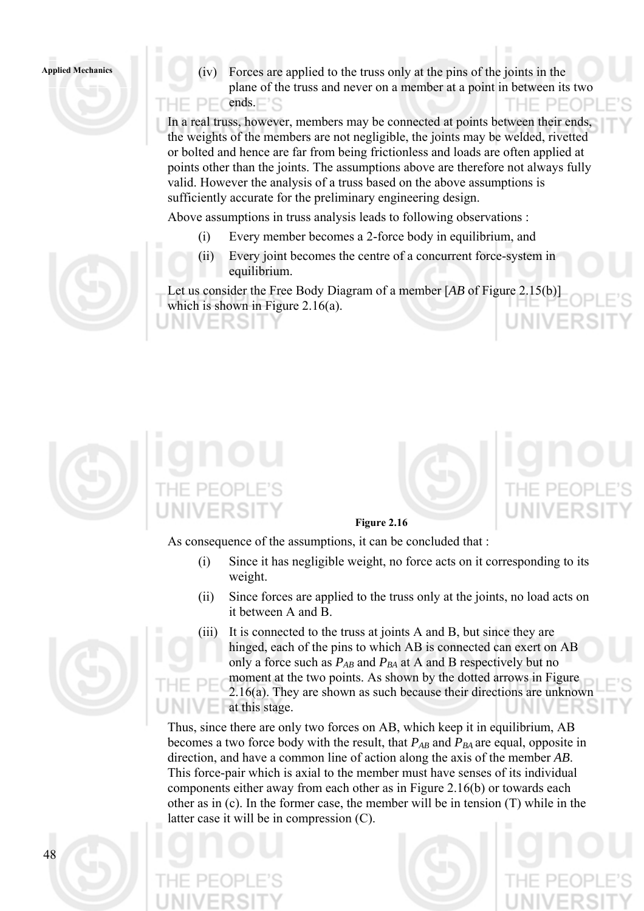**Applied Mechanics** (iv) Forces are applied to the truss only at the pins of the joints in the plane of the truss and never on a member at a point in between its two  $\Box$  ends.  $PF($ 

> In a real truss, however, members may be connected at points between their ends, the weights of the members are not negligible, the joints may be welded, rivetted or bolted and hence are far from being frictionless and loads are often applied at points other than the joints. The assumptions above are therefore not always fully valid. However the analysis of a truss based on the above assumptions is sufficiently accurate for the preliminary engineering design.

Above assumptions in truss analysis leads to following observations :

- (i) Every member becomes a 2-force body in equilibrium, and
- (ii) Every joint becomes the centre of a concurrent force-system in equilibrium.

Let us consider the Free Body Diagram of a member [*AB* of Figure 2.15(b)] which is shown in Figure 2.16(a).





## **Figure 2.16**

As consequence of the assumptions, it can be concluded that :

- (i) Since it has negligible weight, no force acts on it corresponding to its weight.
- (ii) Since forces are applied to the truss only at the joints, no load acts on it between A and B.
- (iii) It is connected to the truss at joints A and B, but since they are hinged, each of the pins to which AB is connected can exert on AB only a force such as  $P_{AB}$  and  $P_{BA}$  at A and B respectively but no moment at the two points. As shown by the dotted arrows in Figure 2.16(a). They are shown as such because their directions are unknown at this stage.

Thus, since there are only two forces on AB, which keep it in equilibrium, AB becomes a two force body with the result, that  $P_{AB}$  and  $P_{BA}$  are equal, opposite in direction, and have a common line of action along the axis of the member *AB*. This force-pair which is axial to the member must have senses of its individual components either away from each other as in Figure 2.16(b) or towards each other as in (c). In the former case, the member will be in tension (T) while in the latter case it will be in compression (C).



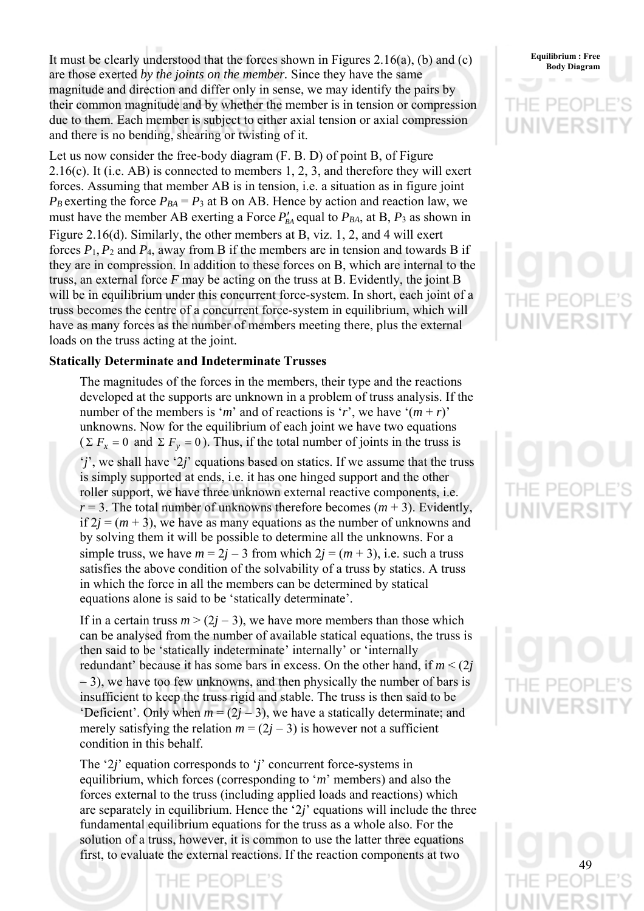It must be clearly understood that the forces shown in Figures 2.16(a), (b) and (c) Equilibrium: Free are those exerted *by the joints on the member.* Since they have the same magnitude and direction and differ only in sense, we may identify the pairs by their common magnitude and by whether the member is in tension or compression due to them. Each member is subject to either axial tension or axial compression and there is no bending, shearing or twisting of it.

Let us now consider the free-body diagram (F. B. D) of point B, of Figure  $2.16(c)$ . It (i.e. AB) is connected to members 1, 2, 3, and therefore they will exert forces. Assuming that member AB is in tension, i.e. a situation as in figure joint  $P_B$  exerting the force  $P_{BA} = P_3$  at B on AB. Hence by action and reaction law, we must have the member AB exerting a Force  $P'_{BA}$  equal to  $P_{BA}$ , at B,  $P_3$  as shown in Figure 2.16(d). Similarly, the other members at B, viz. 1, 2, and 4 will exert forces  $P_1$ ,  $P_2$  and  $P_4$ , away from B if the members are in tension and towards B if they are in compression. In addition to these forces on B, which are internal to the truss, an external force *F* may be acting on the truss at B. Evidently, the joint B will be in equilibrium under this concurrent force-system. In short, each joint of a truss becomes the centre of a concurrent force-system in equilibrium, which will have as many forces as the number of members meeting there, plus the external loads on the truss acting at the joint.

## **Statically Determinate and Indeterminate Trusses**

The magnitudes of the forces in the members, their type and the reactions developed at the supports are unknown in a problem of truss analysis. If the number of the members is '*m*' and of reactions is '*r*', we have ' $(m + r)$ ' unknowns. Now for the equilibrium of each joint we have two equations  $(\Sigma F_x = 0 \text{ and } \Sigma F_y = 0)$ . Thus, if the total number of joints in the truss is '*j*', we shall have '2*j*' equations based on statics. If we assume that the truss is simply supported at ends, i.e. it has one hinged support and the other roller support, we have three unknown external reactive components, i.e.  $r = 3$ . The total number of unknowns therefore becomes  $(m + 3)$ . Evidently, if  $2j = (m + 3)$ , we have as many equations as the number of unknowns and by solving them it will be possible to determine all the unknowns. For a simple truss, we have  $m = 2j - 3$  from which  $2j = (m + 3)$ , i.e. such a truss satisfies the above condition of the solvability of a truss by statics. A truss in which the force in all the members can be determined by statical equations alone is said to be 'statically determinate'.

If in a certain truss  $m$  > (2*j* – 3), we have more members than those which can be analysed from the number of available statical equations, the truss is then said to be 'statically indeterminate' internally' or 'internally redundant' because it has some bars in excess. On the other hand, if  $m < (2j)$ − 3), we have too few unknowns, and then physically the number of bars is insufficient to keep the truss rigid and stable. The truss is then said to be 'Deficient'. Only when  $m = (2j - 3)$ , we have a statically determinate; and merely satisfying the relation  $m = (2j - 3)$  is however not a sufficient condition in this behalf.

The '2*j*' equation corresponds to '*j*' concurrent force-systems in equilibrium, which forces (corresponding to '*m*' members) and also the forces external to the truss (including applied loads and reactions) which are separately in equilibrium. Hence the '2*j*' equations will include the three fundamental equilibrium equations for the truss as a whole also. For the solution of a truss, however, it is common to use the latter three equations first, to evaluate the external reactions. If the reaction components at two

# **Equilibrium : Free**

NIVERSI

 $PF($ NIVERS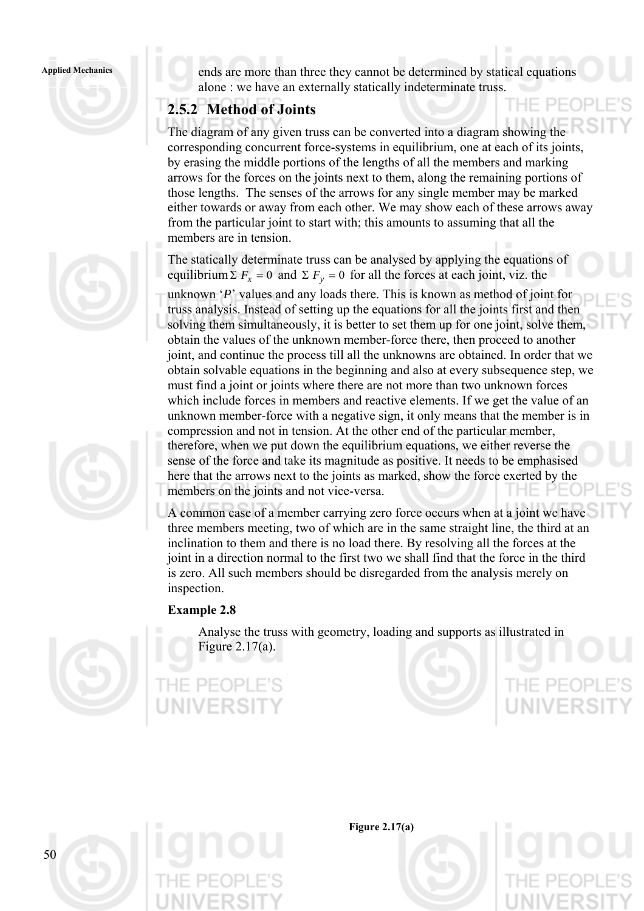### **Applied Mechanics**





ends are more than three they cannot be determined by statical equations alone : we have an externally statically indeterminate truss.

# **2.5.2 Method of Joints**

The diagram of any given truss can be converted into a diagram showing the corresponding concurrent force-systems in equilibrium, one at each of its joints, by erasing the middle portions of the lengths of all the members and marking arrows for the forces on the joints next to them, along the remaining portions of those lengths. The senses of the arrows for any single member may be marked either towards or away from each other. We may show each of these arrows away from the particular joint to start with; this amounts to assuming that all the members are in tension.

The statically determinate truss can be analysed by applying the equations of equilibrium  $\Sigma F_x = 0$  and  $\Sigma F_y = 0$  for all the forces at each joint, viz. the

unknown '*P*' values and any loads there. This is known as method of joint for truss analysis. Instead of setting up the equations for all the joints first and then solving them simultaneously, it is better to set them up for one joint, solve them, obtain the values of the unknown member-force there, then proceed to another joint, and continue the process till all the unknowns are obtained. In order that we obtain solvable equations in the beginning and also at every subsequence step, we must find a joint or joints where there are not more than two unknown forces which include forces in members and reactive elements. If we get the value of an unknown member-force with a negative sign, it only means that the member is in compression and not in tension. At the other end of the particular member, therefore, when we put down the equilibrium equations, we either reverse the

sense of the force and take its magnitude as positive. It needs to be emphasised here that the arrows next to the joints as marked, show the force exerted by the members on the joints and not vice-versa.

A common case of a member carrying zero force occurs when at a joint we have three members meeting, two of which are in the same straight line, the third at an inclination to them and there is no load there. By resolving all the forces at the joint in a direction normal to the first two we shall find that the force in the third is zero. All such members should be disregarded from the analysis merely on inspection.

**Example 2.8** 



50

Analyse the truss with geometry, loading and supports as illustrated in Figure 2.17(a).

 $P F \cap P$ 





**Figure 2.17(a)**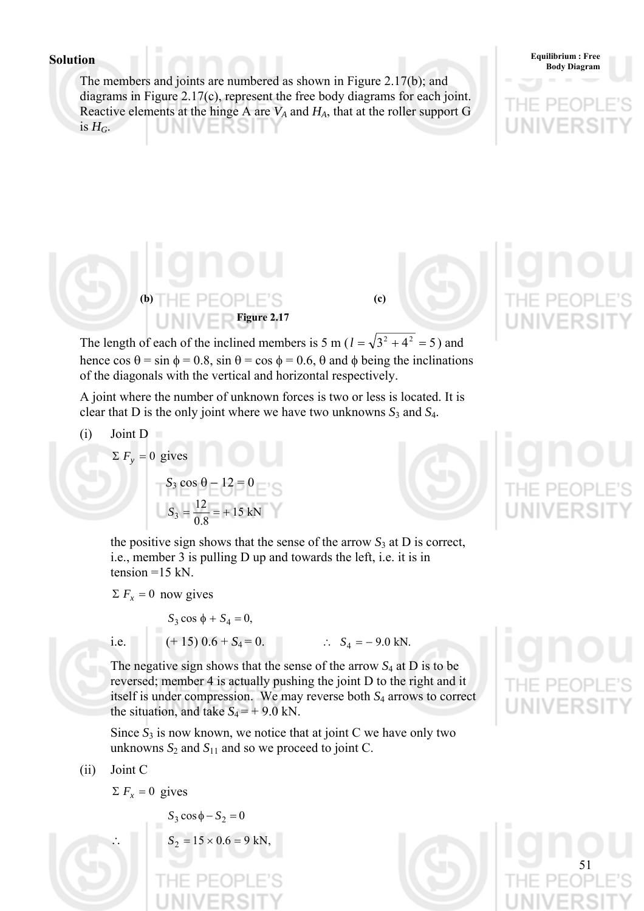The members and joints are numbered as shown in Figure 2.17(b); and diagrams in Figure 2.17(c), represent the free body diagrams for each joint. Reactive elements at the hinge A are  $V_A$  and  $H_A$ , that at the roller support G is  $H_G$ .



**(b)**  $H = P = \bigcap P \mid F \subseteq \{c\}$ **Figure 2.17** 



The length of each of the inclined members is 5 m ( $l = \sqrt{3^2 + 4^2} = 5$ ) and hence  $\cos \theta = \sin \phi = 0.8$ ,  $\sin \theta = \cos \phi = 0.6$ ,  $\theta$  and  $\phi$  being the inclinations of the diagonals with the vertical and horizontal respectively.

A joint where the number of unknown forces is two or less is located. It is clear that D is the only joint where we have two unknowns *S*3 and *S*4.

(i) Joint D  
\n
$$
\Sigma F_y = 0
$$
 gives

$$
S_3 \cos \theta - 12 = 0
$$
  

$$
S_3 = \frac{12}{0.8} = +15 \text{ kN}
$$

the positive sign shows that the sense of the arrow  $S_3$  at D is correct, i.e., member 3 is pulling D up and towards the left, i.e. it is in tension  $=15$  kN.

$$
\Sigma F_x = 0
$$
 now gives

$$
S_3 \cos \phi + S_4 = 0,
$$

$$
\bigcirc
$$

The negative sign shows that the sense of the arrow *S*4 at D is to be reversed; member 4 is actually pushing the joint D to the right and it itself is under compression. We may reverse both *S*4 arrows to correct the situation, and take  $S_4 = +9.0$  kN.

Since  $S_3$  is now known, we notice that at joint C we have only two unknowns  $S_2$  and  $S_{11}$  and so we proceed to joint C.

i.e.  $(+ 15) 0.6 + S_4 = 0.$  ∴  $S_4 = -9.0$  kN.

(ii) Joint C

 $\Sigma F_x = 0$  gives

 $S_3 \cos \phi - S_2 = 0$  $S_2 = 15 \times 0.6 = 9$  kN

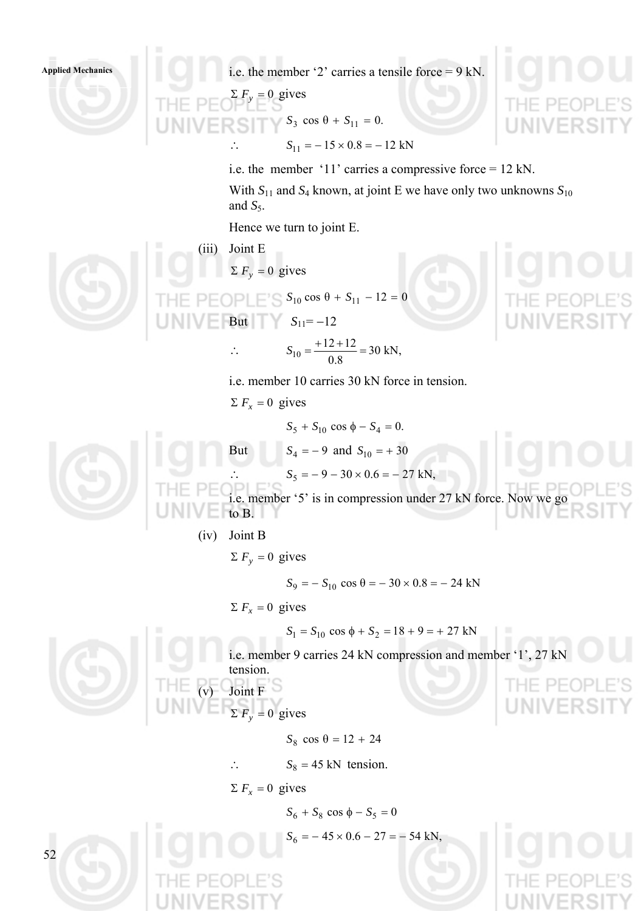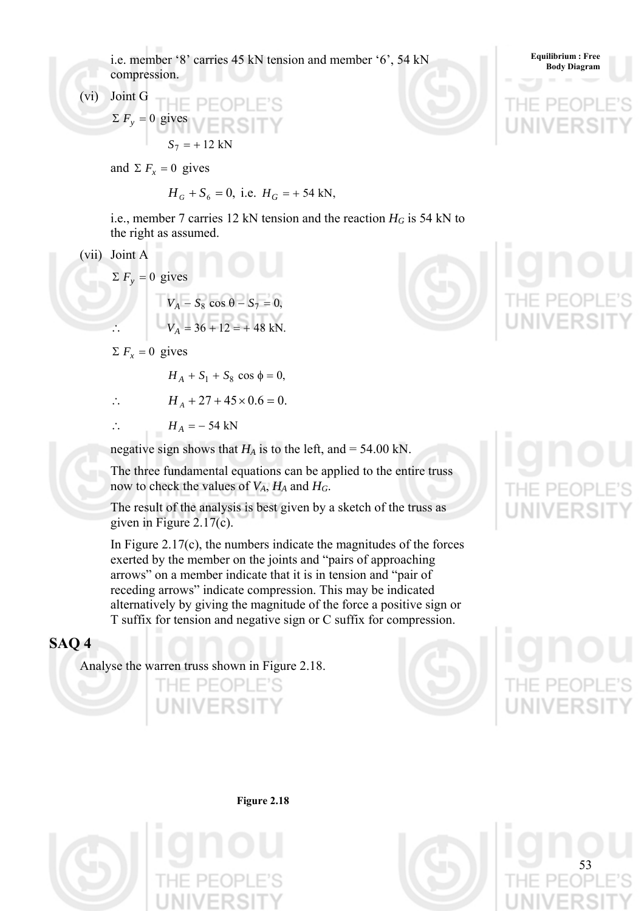i.e. member '8' carries 45 kN tension and member '6', 54 kN compression.

(vi) Joint G

$$
\Sigma F_y = 0 \text{ gives}
$$
  

$$
S_7 = +12 \text{ kN}
$$

and  $\Sigma F_x = 0$  gives

$$
H_G + S_6 = 0
$$
, i.e.  $H_G = +54$  kN,

i.e., member 7 carries 12 kN tension and the reaction  $H_G$  is 54 kN to the right as assumed.

(vii) Joint A

$$
\Sigma F_y = 0
$$
 gives  

$$
V_A - S_8 \cos \theta - S_7 = 0,
$$

$$
V_A = 36 + 12 = + 48 \text{ kN}.
$$

 $\sum F_x = 0$  gives

$$
H_A + S_1 + S_8 \cos \phi = 0,
$$

$$
\therefore H_A + 27 + 45 \times 0.6 = 0.
$$

 $\therefore$  *H*<sub>A</sub> = – 54 kN

negative sign shows that  $H_A$  is to the left, and = 54.00 kN.

The three fundamental equations can be applied to the entire truss now to check the values of  $V_A$ ,  $H_A$  and  $H_G$ .

The result of the analysis is best given by a sketch of the truss as given in Figure 2.17(c).

In Figure  $2.17(c)$ , the numbers indicate the magnitudes of the forces exerted by the member on the joints and "pairs of approaching arrows" on a member indicate that it is in tension and "pair of receding arrows" indicate compression. This may be indicated alternatively by giving the magnitude of the force a positive sign or T suffix for tension and negative sign or C suffix for compression.

# **SAQ 4**

Analyse the warren truss shown in Figure 2.18.















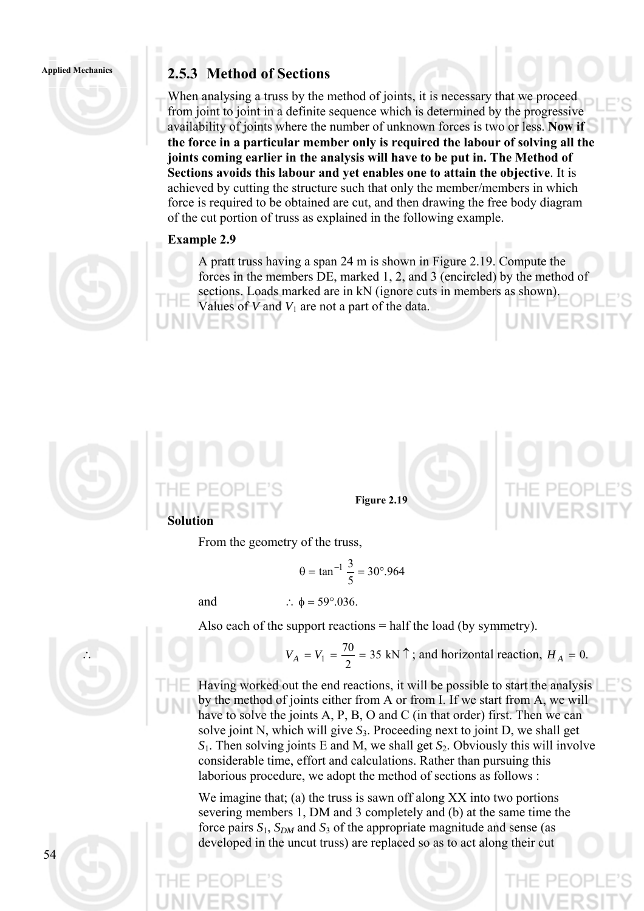# Applied Mechanics **2.5.3 Method of Sections**

When analysing a truss by the method of joints, it is necessary that we proceed from joint to joint in a definite sequence which is determined by the progressive availability of joints where the number of unknown forces is two or less. **Now if the force in a particular member only is required the labour of solving all the joints coming earlier in the analysis will have to be put in. The Method of Sections avoids this labour and yet enables one to attain the objective**. It is achieved by cutting the structure such that only the member/members in which force is required to be obtained are cut, and then drawing the free body diagram of the cut portion of truss as explained in the following example.

# **Example 2.9**

A pratt truss having a span 24 m is shown in Figure 2.19. Compute the forces in the members DE, marked 1, 2, and 3 (encircled) by the method of sections. Loads marked are in kN (ignore cuts in members as shown). Values of *V* and *V*1 are not a part of the data.



**Figure 2.19** 

From the geometry of the truss,

$$
\theta = \tan^{-1} \frac{3}{5} = 30^{\circ}.964
$$

and  $\therefore \phi = 59^{\circ}.036$ .



Also each of the support reactions  $=$  half the load (by symmetry).

$$
V_A = V_1 = \frac{70}{2} = 35 \text{ kN } \uparrow
$$
; and horizontal reaction,  $H_A = 0$ .

Having worked out the end reactions, it will be possible to start the analysis by the method of joints either from A or from I. If we start from A, we will have to solve the joints A, P, B, O and C (in that order) first. Then we can solve joint N, which will give  $S_3$ . Proceeding next to joint D, we shall get *S*1. Then solving joints E and M, we shall get *S*2. Obviously this will involve considerable time, effort and calculations. Rather than pursuing this laborious procedure, we adopt the method of sections as follows :

We imagine that; (a) the truss is sawn off along XX into two portions severing members 1, DM and 3 completely and (b) at the same time the force pairs  $S_1$ ,  $S_{DM}$  and  $S_3$  of the appropriate magnitude and sense (as developed in the uncut truss) are replaced so as to act along their cut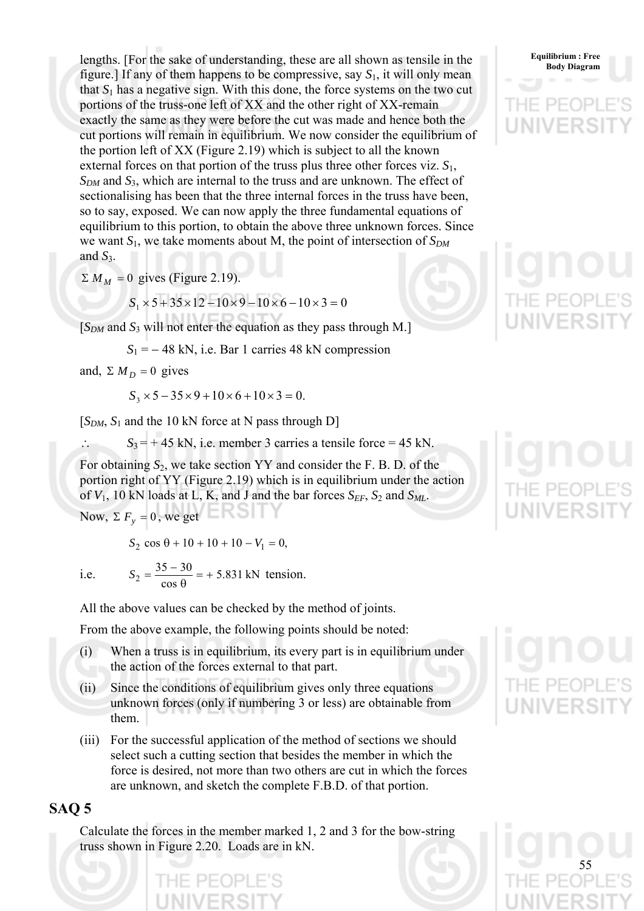lengths. [For the sake of understanding, these are all shown as tensile in the **Equilibrium: Free** figure.] If any of them happens to be compressive, say  $S_1$ , it will only mean that  $S_1$  has a negative sign. With this done, the force systems on the two cut portions of the truss-one left of XX and the other right of XX-remain exactly the same as they were before the cut was made and hence both the cut portions will remain in equilibrium. We now consider the equilibrium of the portion left of XX (Figure 2.19) which is subject to all the known external forces on that portion of the truss plus three other forces viz. *S*1,  $S_{DM}$  and  $S_3$ , which are internal to the truss and are unknown. The effect of sectionalising has been that the three internal forces in the truss have been, so to say, exposed. We can now apply the three fundamental equations of equilibrium to this portion, to obtain the above three unknown forces. Since we want  $S_1$ , we take moments about M, the point of intersection of  $S_{DM}$ and  $S_3$ .

 $\sum M_M = 0$  gives (Figure 2.19).

 $S_1 \times 5 + 35 \times 12 - 10 \times 9 - 10 \times 6 - 10 \times 3 = 0$ 

 $[S<sub>DM</sub>$  and  $S<sub>3</sub>$  will not enter the equation as they pass through M.]

 $S_1 = -48$  kN, i.e. Bar 1 carries 48 kN compression

and,  $\Sigma M_D = 0$  gives

$$
S_3 \times 5 - 35 \times 9 + 10 \times 6 + 10 \times 3 = 0.
$$

 $[S_{DM}, S_1]$  and the 10 kN force at N pass through D]

 $S_3 = +45$  kN, i.e. member 3 carries a tensile force = 45 kN.

For obtaining *S*2, we take section YY and consider the F. B. D. of the portion right of YY (Figure 2.19) which is in equilibrium under the action of  $V_1$ , 10 kN loads at L, K, and J and the bar forces  $S_{EF}$ ,  $S_2$  and  $S_{ML}$ . Now,  $\Sigma F_y = 0$ , we get

 $S_2 \cos \theta + 10 + 10 + 10 - V_1 = 0$ ,

$$
\quad i.e.\quad
$$

i.e.  $S_2 = \frac{33-30}{8} = +5.831 \text{ kN}$ cos  $_2 = \frac{35 - 30}{\cos \theta} = +$  $S_2 = \frac{35-30}{9} = +5.831$  kN tension.

All the above values can be checked by the method of joints.

From the above example, the following points should be noted:

- (i) When a truss is in equilibrium, its every part is in equilibrium under the action of the forces external to that part.
- (ii) Since the conditions of equilibrium gives only three equations unknown forces (only if numbering 3 or less) are obtainable from them.
- (iii) For the successful application of the method of sections we should select such a cutting section that besides the member in which the force is desired, not more than two others are cut in which the forces are unknown, and sketch the complete F.B.D. of that portion.

# **SAQ 5**

Calculate the forces in the member marked 1, 2 and 3 for the bow-string truss shown in Figure 2.20. Loads are in kN.



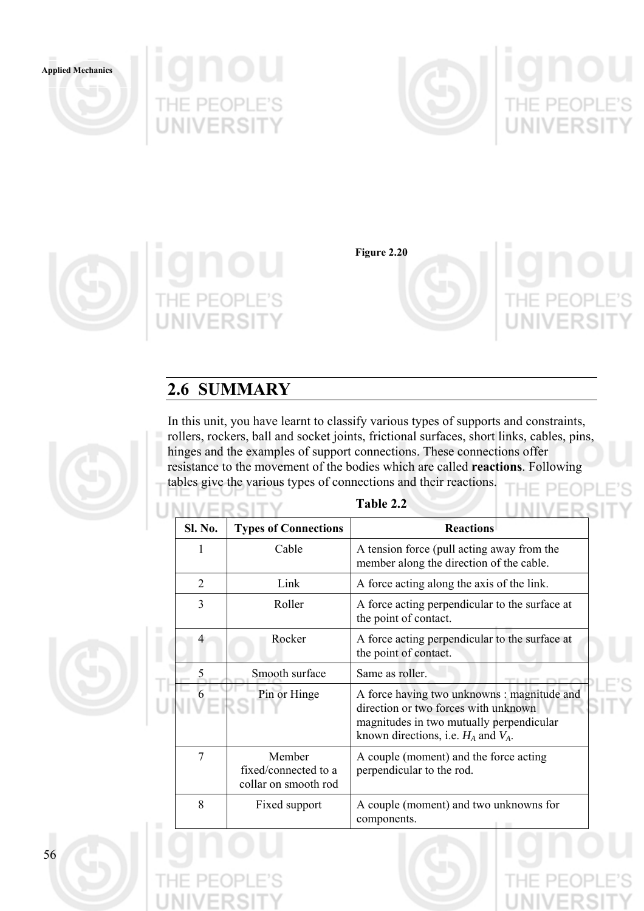









**Figure 2.20** 



# **2.6 SUMMARY**

U

Т

In this unit, you have learnt to classify various types of supports and constraints, rollers, rockers, ball and socket joints, frictional surfaces, short links, cables, pins, hinges and the examples of support connections. These connections offer resistance to the movement of the bodies which are called **reactions**. Following tables give the various types of connections and their reactions. PF( ЭP

|                |                                                        | Table 2.2                                                                                                                                                                   |  |  |  |
|----------------|--------------------------------------------------------|-----------------------------------------------------------------------------------------------------------------------------------------------------------------------------|--|--|--|
| Sl. No.        | <b>Types of Connections</b>                            | <b>Reactions</b>                                                                                                                                                            |  |  |  |
| 1              | Cable                                                  | A tension force (pull acting away from the<br>member along the direction of the cable.                                                                                      |  |  |  |
| $\overline{2}$ | Link                                                   | A force acting along the axis of the link.                                                                                                                                  |  |  |  |
| 3              | Roller                                                 | A force acting perpendicular to the surface at<br>the point of contact.                                                                                                     |  |  |  |
| 4              | Rocker                                                 | A force acting perpendicular to the surface at<br>the point of contact.                                                                                                     |  |  |  |
| 5              | Smooth surface                                         | Same as roller.                                                                                                                                                             |  |  |  |
| 6              | Pin or Hinge                                           | A force having two unknowns : magnitude and<br>direction or two forces with unknown<br>magnitudes in two mutually perpendicular<br>known directions, i.e. $H_A$ and $V_A$ . |  |  |  |
| 7              | Member<br>fixed/connected to a<br>collar on smooth rod | A couple (moment) and the force acting<br>perpendicular to the rod.                                                                                                         |  |  |  |
| 8              | Fixed support                                          | A couple (moment) and two unknowns for<br>components.                                                                                                                       |  |  |  |

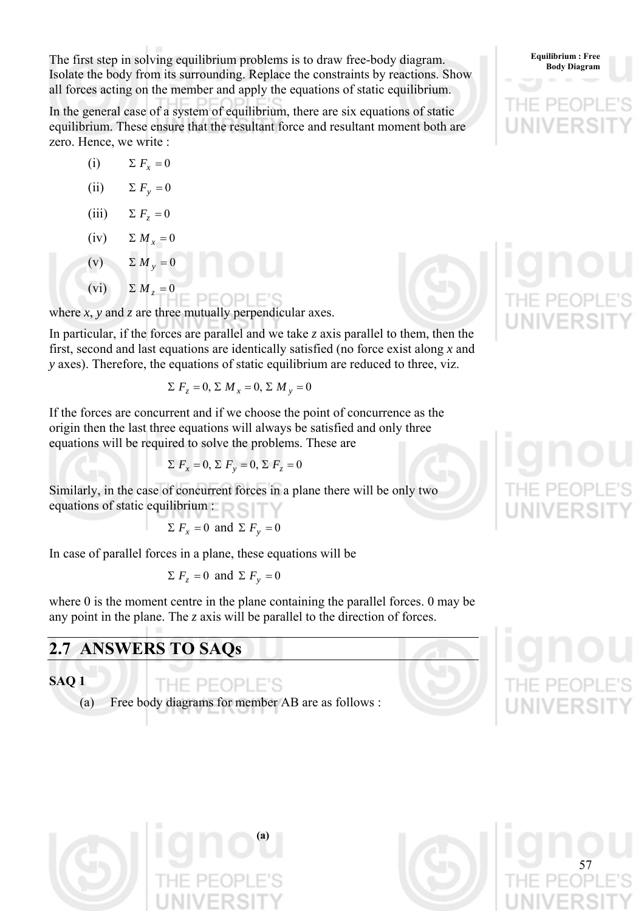The first step in solving equilibrium problems is to draw free-body diagram. Body Diagram Body Diagram Isolate the body from its surrounding. Replace the constraints by reactions. Show all forces acting on the member and apply the equations of static equilibrium.

In the general case of a system of equilibrium, there are six equations of static equilibrium. These ensure that the resultant force and resultant moment both are zero. Hence, we write :

- (i)  $\Sigma F_r = 0$
- (ii)  $\Sigma F_v = 0$
- (iii)  $\Sigma F_z = 0$
- (iv)  $\Sigma M_r = 0$
- (v)  $\sum M_v = 0$

(vi)  $\sum M_i = 0$ 

where  $x$ ,  $y$  and  $z$  are three mutually perpendicular axes.

In particular, if the forces are parallel and we take *z* axis parallel to them, then the first, second and last equations are identically satisfied (no force exist along *x* and *y* axes). Therefore, the equations of static equilibrium are reduced to three, viz.

$$
\Sigma F_z = 0, \Sigma M_x = 0, \Sigma M_y = 0
$$

If the forces are concurrent and if we choose the point of concurrence as the origin then the last three equations will always be satisfied and only three equations will be required to solve the problems. These are

$$
\Sigma F_x = 0, \Sigma F_y = 0, \Sigma F_z = 0
$$

Similarly, in the case of concurrent forces in a plane there will be only two equations of static equilibrium :

$$
\sum F_x = 0
$$
 and  $\sum F_y = 0$ 

In case of parallel forces in a plane, these equations will be

$$
\Sigma
$$
  $F_z = 0$  and  $\Sigma$   $F_y = 0$ 

where 0 is the moment centre in the plane containing the parallel forces. 0 may be any point in the plane. The *z* axis will be parallel to the direction of forces.

# **2.7 ANSWERS TO SAQs**

**SAQ 1** 

THE PEOPLE'S (a) Free body diagrams for member AB are as follows :









**Equilibrium : Free**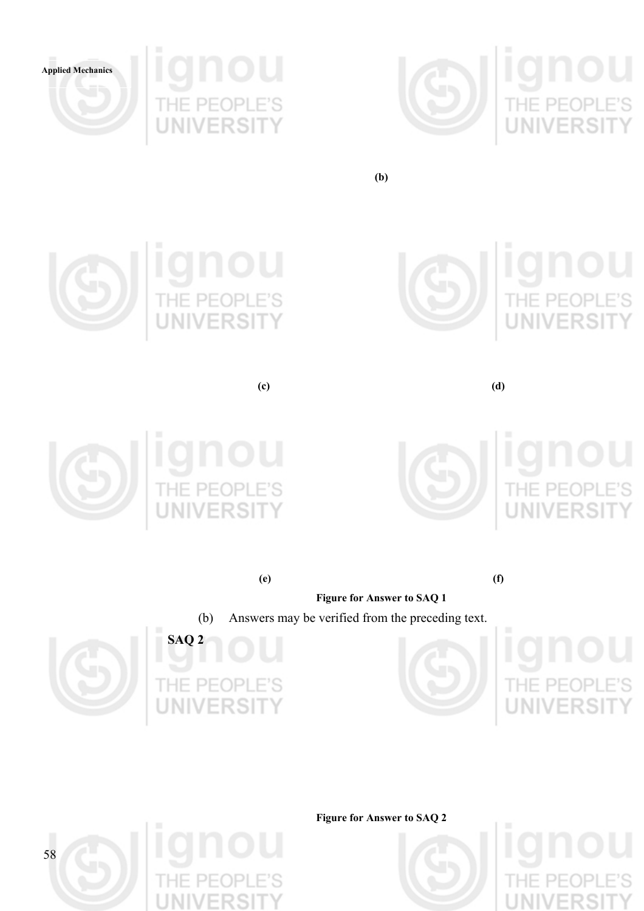







**(b)** 





**(c) (d)** 





**LI**<br>E'S<br>TY

**(e) (f)** 

**Figure for Answer to SAQ 1** 











**Figure for Answer to SAQ 2** 

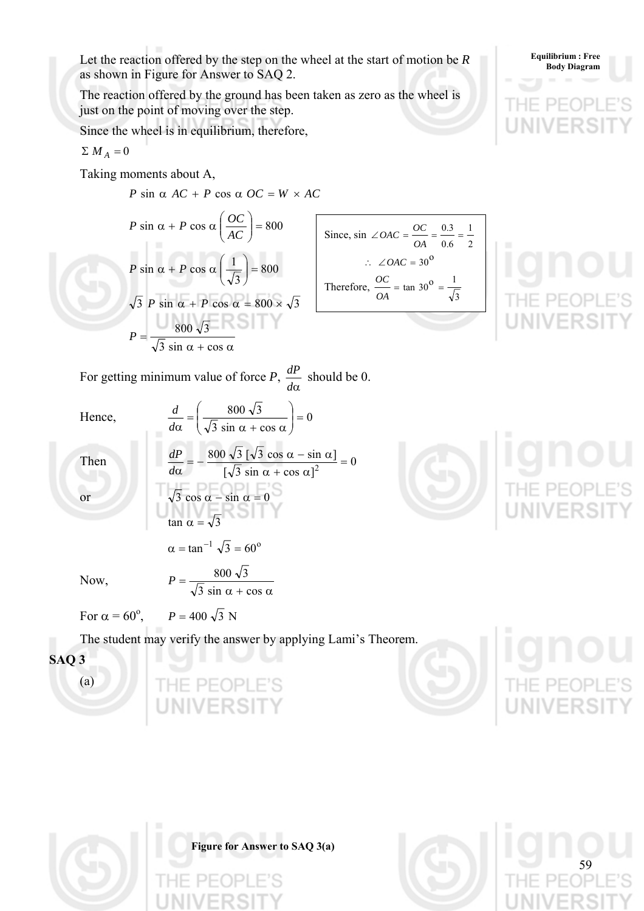Let the reaction offered by the step on the wheel at the start of motion be *R* as shown in Figure for Answer to SAQ 2.

The reaction offered by the ground has been taken as zero as the wheel is just on the point of moving over the step.

Since the wheel is in equilibrium, therefore,

$$
\Sigma \ M_A = 0
$$

Taking moments about A,

 $P \sin \alpha AC + P \cos \alpha OC = W \times AC$ 

$$
P \sin \alpha + P \cos \alpha \left(\frac{OC}{AC}\right) = 800
$$
  

$$
P \sin \alpha + P \cos \alpha \left(\frac{1}{\sqrt{3}}\right) = 800
$$
  

$$
\sqrt{3} P \sin \alpha + P \cos \alpha = 800 \times \sqrt{3}
$$
  

$$
P = \frac{800 \sqrt{3}}{\sqrt{3} \sin \alpha + \cos \alpha}
$$

 $\sqrt{2}$ 

Since, 
$$
\sin \angle OAC = \frac{OC}{OA} = \frac{0.3}{0.6} = \frac{1}{2}
$$
  
\n $\therefore \angle OAC = 30^{\circ}$   
\nTherefore,  $\frac{OC}{OA} = \tan 30^{\circ} = \frac{1}{\sqrt{3}}$ 

**Equilibrium : Free** 

59

For getting minimum value of force *P*,  $\frac{dP}{d\alpha}$  should be 0.

Hence,

Hence,  
\n
$$
\frac{d}{d\alpha} = \left(\frac{800 \sqrt{3}}{\sqrt{3} \sin \alpha + \cos \alpha}\right) = 0
$$
\nThen  
\n
$$
\frac{dP}{d\alpha} = -\frac{800 \sqrt{3} [\sqrt{3} \cos \alpha - \sin \alpha]}{[\sqrt{3} \sin \alpha + \cos \alpha]^2} = 0
$$
\nor  
\n
$$
\sqrt{3} \cos \alpha - \sin \alpha = 0
$$
\n
$$
\tan \alpha = \sqrt{3}
$$

Now,  
\n
$$
\alpha = \tan^{-1} \sqrt{3} = 60^{\circ}
$$
\n
$$
P = \frac{800 \sqrt{3}}{\sqrt{3} \sin \alpha + \cos \alpha}
$$

Now,

For  $\alpha = 60^\circ$ ,  $P = 400\sqrt{3} N$ 

The student may verify the answer by applying Lami's Theorem.

**Figure for Answer to SAQ 3(a)** 

**SAQ 3**  (a)



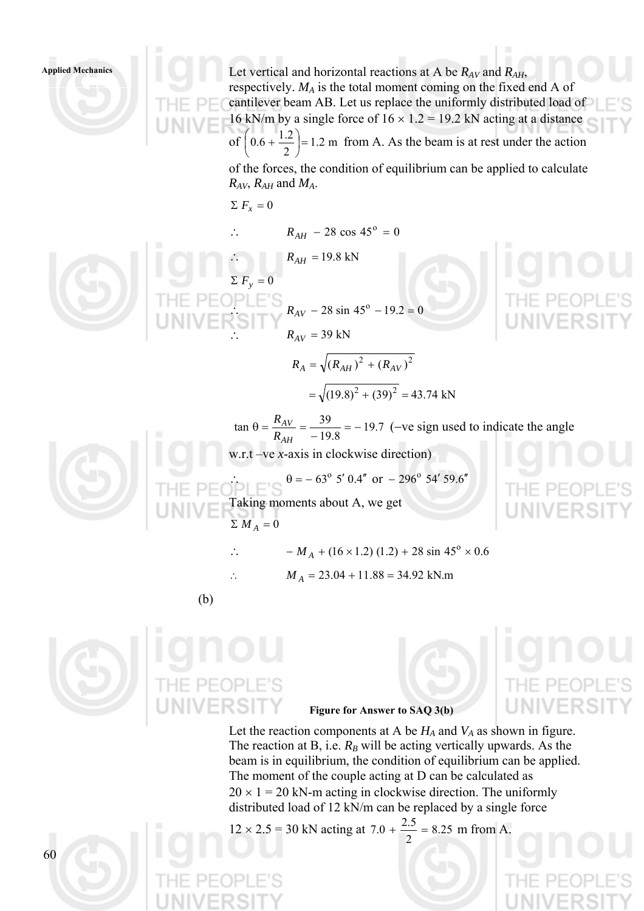**Applied Mechanics** 

Let vertical and horizontal reactions at A be  $R_{AV}$  and  $R_{AH}$ , respectively. *MA* is the total moment coming on the fixed end A of cantilever beam AB. Let us replace the uniformly distributed load of 16 kN/m by a single force of  $16 \times 1.2 = 19.2$  kN acting at a distance of  $|0.6 + \frac{1.2}{2}| = 1.2$  m 2  $0.6 + \frac{1.2}{2}$ = ⎠  $\left(0.6 + \frac{1.2}{2}\right)$ ⎝  $\left(0.6 + \frac{1.2}{2}\right) = 1.2$  m from A. As the beam is at rest under the action of the forces, the condition of equilibrium can be applied to calculate  $R_{AV}$ ,  $R_{AH}$  and  $M_A$ .  $\sum F_x = 0$  $R_{AH}$  – 28 cos 45<sup>o</sup> = 0  $R_{AH} = 19.8 \text{ kN}$  $\Sigma F_v = 0$  $R_{AV} - 28 \sin 45^\circ - 19.2 = 0$  $R_{AV} = 39 \text{ kN}$  $R_A = \sqrt{(R_{AH})^2 + (R_{AV})^2}$  $=\sqrt{(19.8)^2+(39)^2}=43.74 \text{ kN}$ 19.7 8.19  $\tan \theta = \frac{R_{AV}}{R_{AH}} = \frac{39}{-19.8} = -$ *AV R*  $rac{R_{AV}}{R_{AV}} = \frac{39}{100} = -19.7$  (-ve sign used to indicate the angle w.r.t –ve *x*-axis in clockwise direction)  $\theta = -63^{\circ} 5' 0.4'' \text{ or } -296^{\circ} 54' 59.6''$ Taking moments about A, we get  $\sum M_A = 0$ ∴  $-M_A + (16 \times 1.2) (1.2) + 28 \sin 45^\circ \times 0.6$  $M_A = 23.04 + 11.88 = 34.92$  kN.m (b)



**Figure for Answer to SAQ 3(b)** 

Let the reaction components at A be  $H_A$  and  $V_A$  as shown in figure. The reaction at B, i.e.  $R_B$  will be acting vertically upwards. As the beam is in equilibrium, the condition of equilibrium can be applied. The moment of the couple acting at D can be calculated as  $20 \times 1 = 20$  kN-m acting in clockwise direction. The uniformly distributed load of 12 kN/m can be replaced by a single force

 $12 \times 2.5 = 30$  kN acting at  $7.0 + \frac{2.5}{1.5} = 8.25$ 2  $7.0 + \frac{2.5}{2.5} = 8.25$  m from A.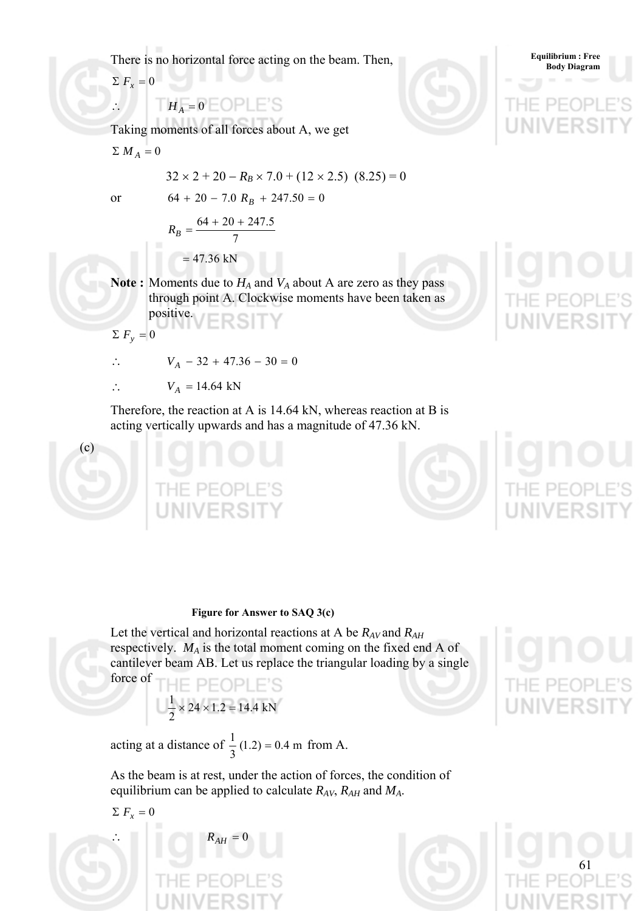There is no horizontal force acting on the beam. Then,

 $\sum F_x = 0$ 

# $\therefore$   $H_A = 0$   $\equiv$   $\text{OPLE}$ 'S

Taking moments of all forces about A, we get

 $\sum M_A = 0$ 

$$
32 \times 2 + 20 - R_B \times 7.0 + (12 \times 2.5) (8.25) = 0
$$

or  $64 + 20 - 7.0 R<sub>B</sub> + 247.50 = 0$ 

$$
R_B = \frac{64 + 20 + 247.5}{7}
$$
  
= 47.36 kN

**Note :** Moments due to  $H_A$  and  $V_A$  about A are zero as they pass through point A. Clockwise moments have been taken as positive.

$$
\Sigma F_y = 0
$$

∴  $V_A - 32 + 47.36 - 30 = 0$ 

∴  $V_A = 14.64$  kN

Therefore, the reaction at A is 14.64 kN, whereas reaction at B is acting vertically upwards and has a magnitude of 47.36 kN.



**Equilibrium : Free** 

## **Figure for Answer to SAQ 3(c)**

Let the vertical and horizontal reactions at A be *RAV* and *RAH* respectively. *MA* is the total moment coming on the fixed end A of cantilever beam AB. Let us replace the triangular loading by a single force of

$$
\frac{1}{2} \times 24 \times 1.2 = 14.4 \text{ kN}
$$

acting at a distance of  $\frac{1}{3}(1.2) = 0.4$  m from A.

As the beam is at rest, under the action of forces, the condition of equilibrium can be applied to calculate *RAV*, *RAH* and *MA*.

$$
\Sigma F_x = 0
$$



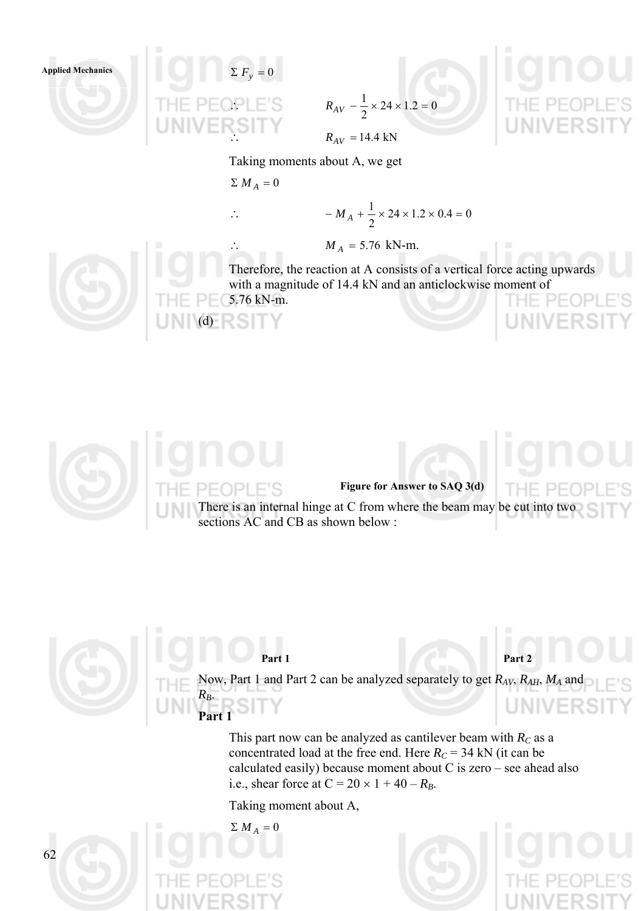



$$
R_{AV} - \frac{1}{2} \times 24 \times 1.2 = 0
$$

Taking moments about A, we get

$$
\Sigma M_A = 0
$$

(d)

$$
\therefore \qquad -M_A + \frac{1}{2} \times 24 \times 1.2 \times 0.4 = 0
$$

∴  $M_A = 5.76$  kN-m.

Therefore, the reaction at A consists of a vertical force acting upwards with a magnitude of 14.4 kN and an anticlockwise moment of 5.76 kN-m.



## **Figure for Answer to SAQ 3(d)**

There is an internal hinge at C from where the beam may be cut into two sections AC and CB as shown below :



**Part 1** 

Part 1 **Part 2** 

Now, Part 1 and Part 2 can be analyzed separately to get *RAV*, *RAH*, *MA* and  $R_B$ . FRS

This part now can be analyzed as cantilever beam with  $R_C$  as a concentrated load at the free end. Here  $R_C = 34$  kN (it can be calculated easily) because moment about C is zero – see ahead also i.e., shear force at  $C = 20 \times 1 + 40 - R_B$ .

Taking moment about A,



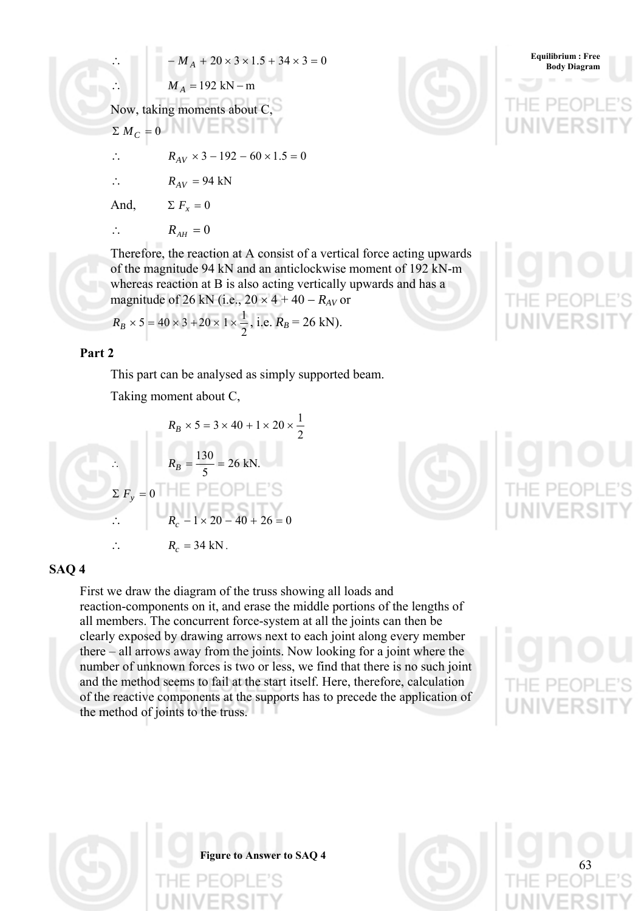∴ 
$$
-M_A + 20 \times 3 \times 1.5 + 34 \times 3 = 0
$$
  
\n∴  $M_A = 192 \text{ kN} - \text{m}$   
\nNow, taking moments about C,  
\n $\Sigma M_C = 0$   
\n∴  $R_{AV} \times 3 - 192 - 60 \times 1.5 = 0$   
\n∴  $R_{AV} = 94 \text{ kN}$   
\nAnd,  $\Sigma F_x = 0$   
\n∴  $R_{AH} = 0$   
\nTherefore, the reaction at A consist of a vertical force acting upwards

of a vertical force acting upwards of the magnitude 94 kN and an anticlockwise moment of 192 kN-m whereas reaction at B is also acting vertically upwards and has a magnitude of 26 kN (i.e.,  $20 \times 4 + 40 - R_{AV}$  or

$$
R_B \times 5 = 40 \times 3 + 20 \times 1 \times \frac{1}{2}
$$
, i.e.  $R_B = 26$  kN).

## **Part 2**

This part can be analysed as simply supported beam.

Taking moment about C,

$$
R_B \times 5 = 3 \times 40 + 1 \times 20 \times \frac{1}{2}
$$
  
\n
$$
\therefore \qquad R_B = \frac{130}{5} = 26 \text{ kN.}
$$
  
\n
$$
\Sigma F_y = 0 \qquad \blacksquare \qquad \blacksquare \qquad \blacksquare \qquad \blacksquare \qquad \blacksquare
$$
  
\n
$$
\therefore \qquad R_c - 1 \times 20 - 40 + 26 = 0
$$
  
\n
$$
\therefore \qquad R_c = 34 \text{ kN.}
$$



## **SAQ 4**

First we draw the diagram of the truss showing all loads and reaction-components on it, and erase the middle portions of the lengths of all members. The concurrent force-system at all the joints can then be clearly exposed by drawing arrows next to each joint along every member there – all arrows away from the joints. Now looking for a joint where the number of unknown forces is two or less, we find that there is no such joint and the method seems to fail at the start itself. Here, therefore, calculation of the reactive components at the supports has to precede the application of the method of joints to the truss.



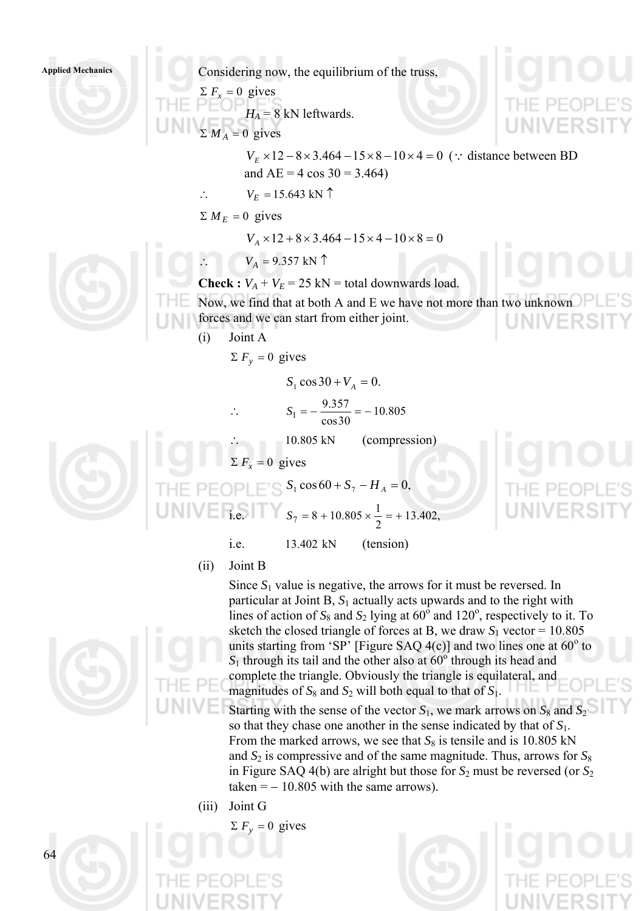

(ii) Joint B



Starting with the sense of the vector  $S_1$ , we mark arrows on  $S_8$  and  $S_2$ so that they chase one another in the sense indicated by that of *S*1. From the marked arrows, we see that  $S_8$  is tensile and is 10.805 kN and  $S_2$  is compressive and of the same magnitude. Thus, arrows for  $S_8$ in Figure SAQ 4(b) are alright but those for *S*2 must be reversed (or *S*<sup>2</sup> taken  $=$   $-10.805$  with the same arrows).

(iii) Joint G

 $\Sigma F_v = 0$  gives

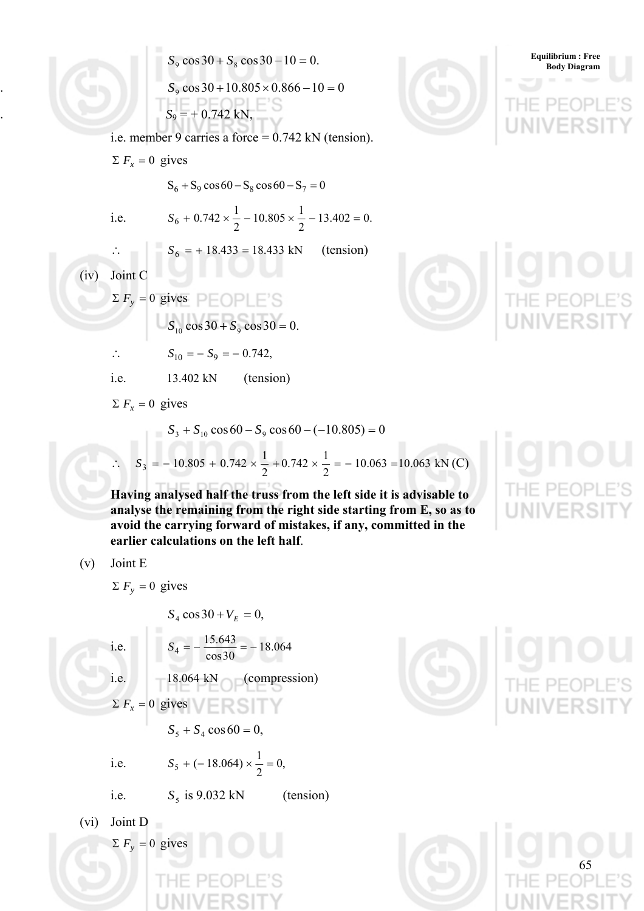$S_9 \cos 30 + S_8 \cos 30 - 10 = 0.$  $S_9 \cos 30 + 10.805 \times 0.866 - 10 = 0$  $S_9 = +0.742$  kN,

i.e. member 9 carries a force = 0.742 kN (tension).

 $\Sigma F_r = 0$  gives

 $S_6 + S_9 \cos 60 - S_8 \cos 60 - S_7 = 0$ 

i.e.  $S_6 + 0.742 \times \frac{1}{2} - 10.805 \times \frac{1}{2} - 13.402 = 0$ .

$$
S_6 + 0.742 \times \frac{1}{2} - 10.805 \times \frac{1}{2} - 13.402 = 0
$$
  

$$
S_6 = + 18.433 = 18.433 \text{ kN} \qquad \text{(tension)}
$$

(iv) Joint C

∴

 $\sum F_y = 0$  gives

$$
S_{10}\cos 30 + S_9\cos 30 = 0.
$$

$$
\therefore \qquad S_{10} = -S_9 = -0.742,
$$

i.e.  $13.402 \text{ kN}$  (tension)

 $\sum F_x = 0$  gives

$$
S_3 + S_{10} \cos 60 - S_9 \cos 60 - (-10.805) = 0
$$
  
∴ 
$$
S_3 = -10.805 + 0.742 \times \frac{1}{2} + 0.742 \times \frac{1}{2} = -10.063 = 10.063 \text{ kN (C)}
$$

2

 $10.805 \times \frac{1}{2}$ 

**Having analysed half the truss from the left side it is advisable to analyse the remaining from the right side starting from E, so as to avoid the carrying forward of mistakes, if any, committed in the earlier calculations on the left half**.

$$
(v) \quad \text{Joint } E
$$

 $\Sigma F_v = 0$  gives

$$
S_4 \cos 30 + V_E = 0,
$$

i.e. 
$$
S_4 = -\frac{15.643}{\cos 30} = -18.064
$$
  
\ni.e.  $-18.064 \text{ kN} \qquad \text{(compression)}$   
\n $\Sigma F_x = 0 \text{ gives}$   
\n $S_5 + S_4 \cos 60 = 0,$ 

i.e. 
$$
S_5 + (-18.064) \times \frac{1}{2} = 0
$$
,

i.e.  $S_5$  is 9.032 kN (tension)

(vi) Joint D  $\Sigma F_y = 0$  gives







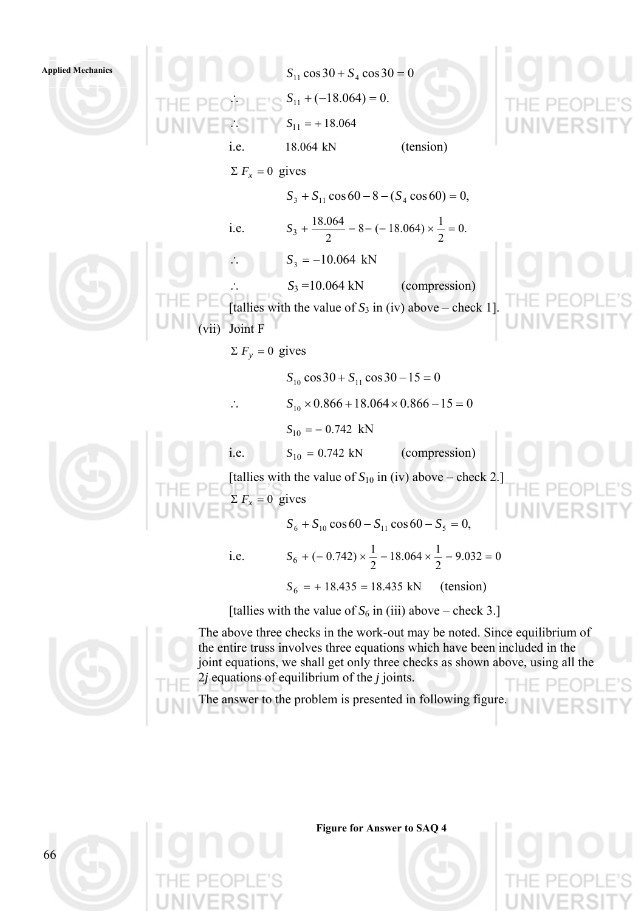



The above three checks in the work-out may be noted. Since equilibrium of the entire truss involves three equations which have been included in the joint equations, we shall get only three checks as shown above, using all the 2*j* equations of equilibrium of the *j* joints.

The answer to the problem is presented in following figure.



**Figure for Answer to SAQ 4**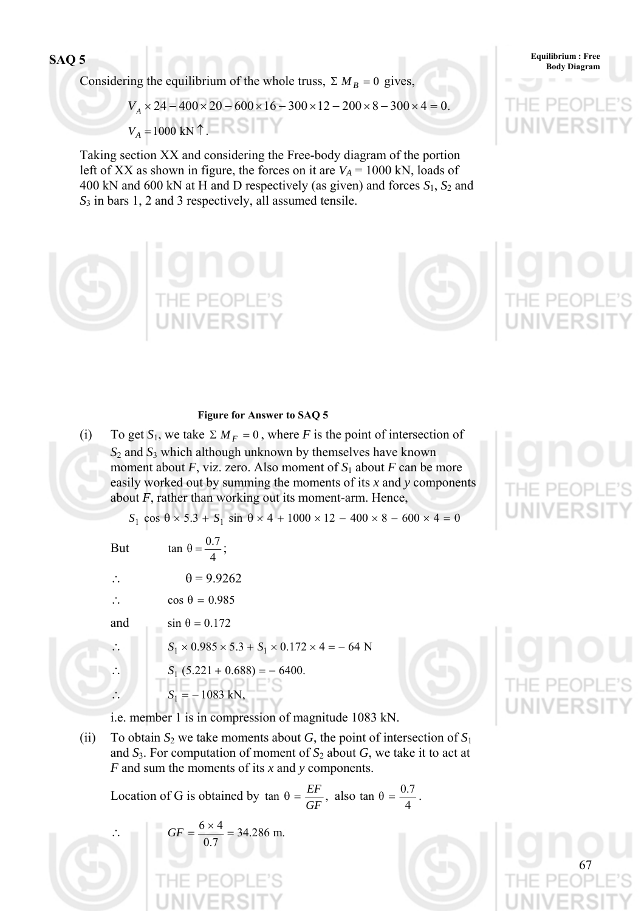**Body Diagram SAQ 5** 

Considering the equilibrium of the whole truss,  $\sum M_B = 0$  gives,

 $V_A \times 24 - 400 \times 20 - 600 \times 16 - 300 \times 12 - 200 \times 8 - 300 \times 4 = 0.$  $V_A = 1000$  kN 1 ERSITY

Taking section XX and considering the Free-body diagram of the portion left of XX as shown in figure, the forces on it are  $V_A = 1000$  kN, loads of 400 kN and 600 kN at H and D respectively (as given) and forces  $S_1$ ,  $S_2$  and *S*3 in bars 1, 2 and 3 respectively, all assumed tensile.





## **Figure for Answer to SAQ 5**

(i) To get  $S_1$ , we take  $\Sigma M_F = 0$ , where *F* is the point of intersection of *S* 2 and *S*3 which although unknown by themselves have known moment about *F*, viz. zero. Also moment of  $S_1$  about *F* can be more easily worked out by summing the moments of its *x* and *y* components about *F*, rather than working out its moment-arm. Hence,

 $S_1 \cos \theta \times 5.3 + S_1 \sin \theta \times 4 + 1000 \times 12 - 400 \times 8 - 600 \times 4 = 0$ 

But

- 4 tan  $\theta = \frac{0.7}{4}$ ;
- ∴  $\theta = 9.9262$
- ∴ cos  $\theta = 0.985$

and  $\sin \theta = 0.172$ 

 $S_1 \times 0.985 \times 5.3 + S_1 \times 0.172 \times 4 = -64$  N

$$
S_1 (5.221 + 0.688) = -6400.
$$
  

$$
S_1 = -1083 \text{ kN},
$$

i.e. member 1 is in compression of magnitude 1083 kN.

(ii) To obtain  $S_2$  we take moments about *G*, the point of intersection of  $S_1$ and  $S_3$ . For computation of moment of  $S_2$  about  $G$ , we take it to act at *F* and sum the moments of its *x* and *y* components.

Location of G is obtained by  $\tan \theta = \frac{EF}{GF}$ , also  $\tan \theta = \frac{0.7}{4}$ .

∴  $GF = \frac{0 \times 4}{0.7} = 34.286$  m. 0.7  $GF = \frac{6 \times 4}{25}$ 



**Equilibrium : Free** 

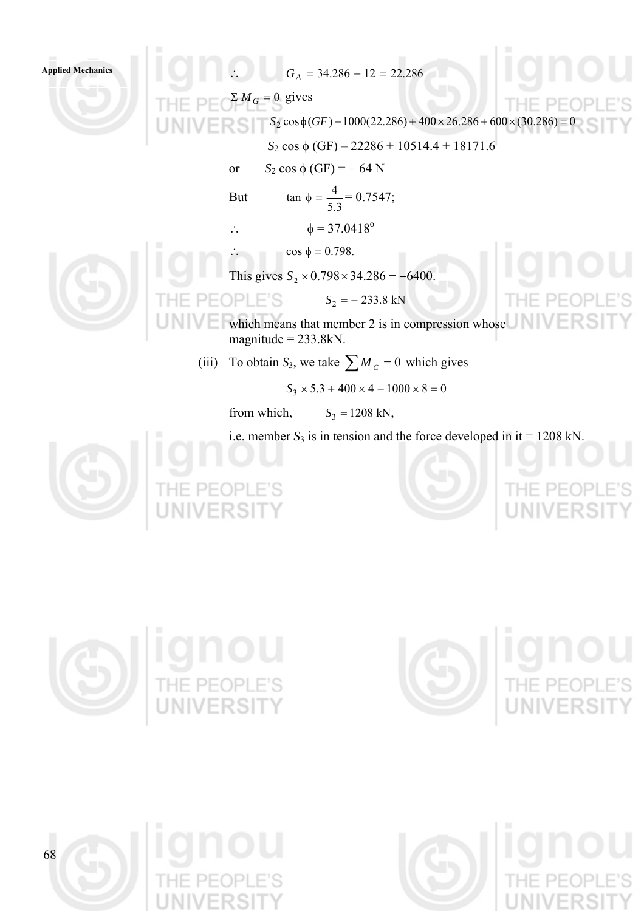Applied Mechanics  $G_A = 34.286 - 12 = 22.286$  $\sum M_G = 0$  gives  $S_2 \cos\phi(GF) - 1000(22.286) + 400 \times 26.286 + 600 \times (30.286)$  $S_2$  cos φ (GF) – 22286 + 10514.4 + 18171.6 or  $S_2$  cos  $\phi$  (GF) = – 64 N tan  $\phi = \frac{4}{5.2} = 0.7547$ ; But 3.5 ∴  $\phi = 37.0418^{\circ}$  $\cos \phi = 0.798$ . This gives  $S_2 \times 0.798 \times 34.286 = -6400$ .  $OPEE^s$   $S_2 = -233.8 \text{ kN}$ which means that member 2 is in compression whose magnitude  $= 233.8$ kN. (iii) To obtain  $S_3$ , we take  $\sum M_c = 0$  which gives  $S_3 \times 5.3 + 400 \times 4 - 1000 \times 8 = 0$ from which,  $S_3 = 1208 \text{ kN}$ , i.e. member  $S_3$  is in tension and the force developed in it = 1208 kN. **IE PE** 







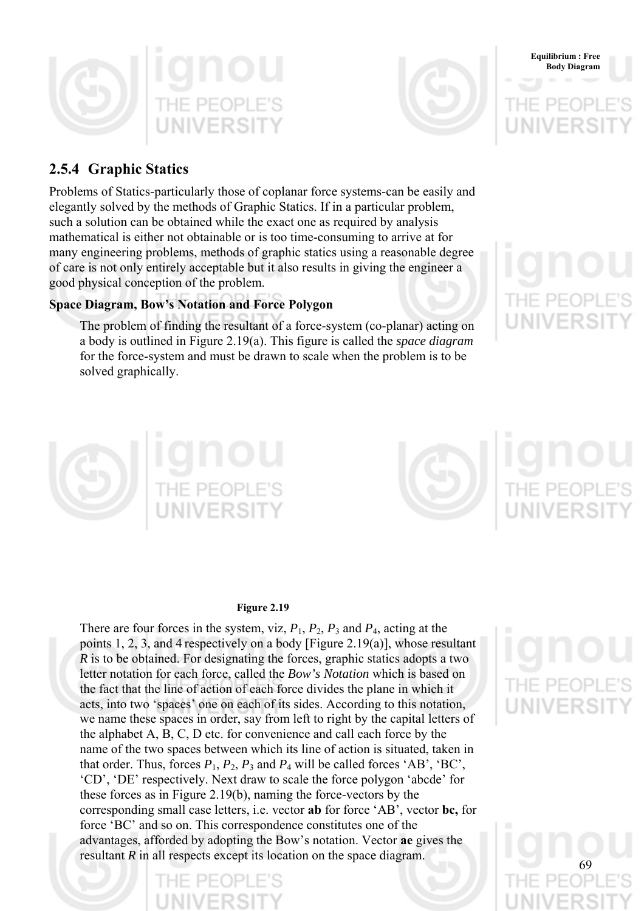



# **2.5.4 Graphic Statics**

Problems of Statics-particularly those of coplanar force systems-can be easily and elegantly solved by the methods of Graphic Statics. If in a particular problem, such a solution can be obtained while the exact one as required by analysis mathematical is either not obtainable or is too time-consuming to arrive at for many engineering problems, methods of graphic statics using a reasonable degree of care is not only entirely acceptable but it also results in giving the engineer a good physical conception of the problem.

# **Space Diagram, Bow's Notation and Force Polygon**

The problem of finding the resultant of a force-system (co-planar) acting on a body is outlined in Figure 2.19(a). This figure is called the *space diagram* for the force-system and must be drawn to scale when the problem is to be solved graphically.



**Equilibrium : Free Body Diagram**



**Figure 2.19** 

There are four forces in the system, viz,  $P_1$ ,  $P_2$ ,  $P_3$  and  $P_4$ , acting at the points 1, 2, 3, and 4 respectively on a body [Figure 2.19(a)], whose resultant *R* is to be obtained. For designating the forces, graphic statics adopts a two letter notation for each force, called the *Bow's Notation* which is based on the fact that the line of action of each force divides the plane in which it acts, into two 'spaces' one on each of its sides. According to this notation, we name these spaces in order, say from left to right by the capital letters of the alphabet A, B, C, D etc. for convenience and call each force by the name of the two spaces between which its line of action is situated, taken in that order. Thus, forces  $P_1$ ,  $P_2$ ,  $P_3$  and  $P_4$  will be called forces 'AB', 'BC', 'CD', 'DE' respectively. Next draw to scale the force polygon 'abcde' for these forces as in Figure 2.19(b), naming the force-vectors by the corresponding small case letters, i.e. vector **ab** for force 'AB', vector **bc,** for force 'BC' and so on. This correspondence constitutes one of the advantages, afforded by adopting the Bow's notation. Vector **ae** gives the resultant *R* in all respects except its location on the space diagram.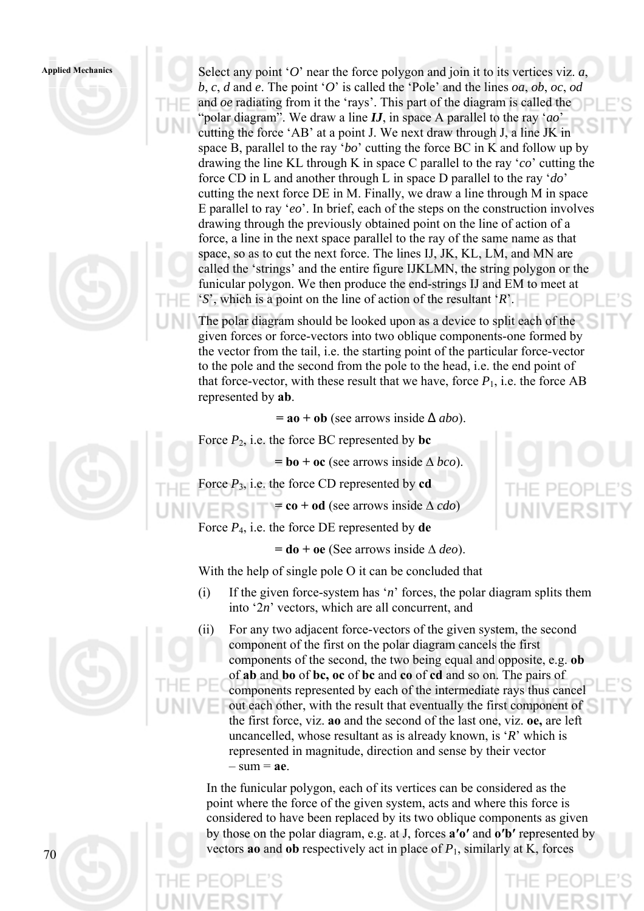





The polar diagram should be looked upon as a device to split each of the given forces or force-vectors into two oblique components-one formed by the vector from the tail, i.e. the starting point of the particular force-vector to the pole and the second from the pole to the head, i.e. the end point of that force-vector, with these result that we have, force  $P_1$ , i.e. the force AB represented by **ab**.

**= ao + ob** (see arrows inside ∆ *abo*).

Force  $P_2$ , i.e. the force BC represented by **bc** 

**= bo + oc** (see arrows inside ∆ *bco*).

Force  $P_3$ , i.e. the force CD represented by **cd** 

**= co + od** (see arrows inside ∆ *cdo*)

Force *P*4, i.e. the force DE represented by **de** 

**= do + oe** (See arrows inside ∆ *deo*).

With the help of single pole O it can be concluded that

- (i) If the given force-system has '*n*' forces, the polar diagram splits them into '2*n*' vectors, which are all concurrent, and
- (ii) For any two adjacent force-vectors of the given system, the second component of the first on the polar diagram cancels the first components of the second, the two being equal and opposite, e.g. **ob**  of **ab** and **bo** of **bc, oc** of **bc** and **co** of **cd** and so on. The pairs of components represented by each of the intermediate rays thus cancel out each other, with the result that eventually the first component of the first force, viz. **ao** and the second of the last one, viz. **oe,** are left uncancelled, whose resultant as is already known, is '*R*' which is represented in magnitude, direction and sense by their vector  $-$  sum  $=$  **ae**.

In the funicular polygon, each of its vertices can be considered as the point where the force of the given system, acts and where this force is considered to have been replaced by its two oblique components as given by those on the polar diagram, e.g. at J, forces **a′o′** and **o′b′** represented by vectors **ao** and **ob** respectively act in place of  $P_1$ , similarly at K, forces

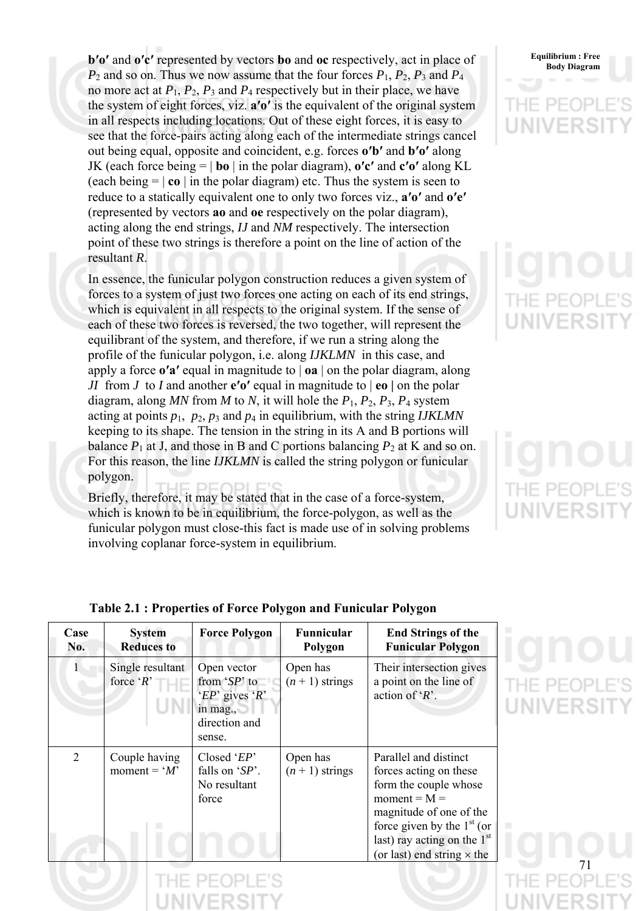**b'o'** and **o'c'** represented by vectors **bo** and **oc** respectively, act in place of **body** Body Diagram  $P_2$  and so on. Thus we now assume that the four forces  $P_1$ ,  $P_2$ ,  $P_3$  and  $P_4$ no more act at  $P_1$ ,  $P_2$ ,  $P_3$  and  $P_4$  respectively but in their place, we have the system of eight forces, viz. **a′o′** is the equivalent of the original system in all respects including locations. Out of these eight forces, it is easy to see that the force-pairs acting along each of the intermediate strings cancel out being equal, opposite and coincident, e.g. forces **o′b′** and **b′o′** along JK (each force being  $= |\mathbf{b} \circ|$  in the polar diagram),  $\mathbf{o}' \mathbf{c}'$  and  $\mathbf{c}' \mathbf{o}'$  along KL (each being  $= |\mathbf{co}|$  in the polar diagram) etc. Thus the system is seen to reduce to a statically equivalent one to only two forces viz., **a′o′** and **o′e′** (represented by vectors **ao** and **oe** respectively on the polar diagram), acting along the end strings, *IJ* and *NM* respectively. The intersection point of these two strings is therefore a point on the line of action of the resultant *R*.

In essence, the funicular polygon construction reduces a given system of forces to a system of just two forces one acting on each of its end strings, which is equivalent in all respects to the original system. If the sense of each of these two forces is reversed, the two together, will represent the equilibrant of the system, and therefore, if we run a string along the profile of the funicular polygon, i.e. along *IJKLMN* in this case, and apply a force **o′a′** equal in magnitude to | **oa** | on the polar diagram, along *JI* from *J* to *I* and another **e′o′** equal in magnitude to | **eo |** on the polar diagram, along *MN* from *M* to *N*, it will hole the *P*1, *P*2, *P*3, *P*4 system acting at points  $p_1$ ,  $p_2$ ,  $p_3$  and  $p_4$  in equilibrium, with the string *IJKLMN* keeping to its shape. The tension in the string in its A and B portions will balance  $P_1$  at J, and those in B and C portions balancing  $P_2$  at K and so on. For this reason, the line *IJKLMN* is called the string polygon or funicular polygon.

Briefly, therefore, it may be stated that in the case of a force-system, which is known to be in equilibrium, the force-polygon, as well as the funicular polygon must close-this fact is made use of in solving problems involving coplanar force-system in equilibrium.

**Equilibrium : Free** 

| Case<br>No.    | <b>System</b><br><b>Reduces to</b> | <b>Force Polygon</b>                                                                       | Funnicular<br>Polygon         | <b>End Strings of the</b><br><b>Funicular Polygon</b>                                                                                                                                                                       |  |
|----------------|------------------------------------|--------------------------------------------------------------------------------------------|-------------------------------|-----------------------------------------------------------------------------------------------------------------------------------------------------------------------------------------------------------------------------|--|
|                | Single resultant<br>force ' $R$ '  | Open vector<br>from $SP$ to<br>' $EP'$ gives ' $R'$<br>in mag.,<br>direction and<br>sense. | Open has<br>$(n + 1)$ strings | Their intersection gives<br>a point on the line of<br>action of $R$ .                                                                                                                                                       |  |
| $\overline{2}$ | Couple having<br>moment = $M'$     | Closed ' $EP'$<br>falls on $SP$ .<br>No resultant<br>force                                 | Open has<br>$(n + 1)$ strings | Parallel and distinct<br>forces acting on these<br>form the couple whose<br>$moment = M =$<br>magnitude of one of the<br>force given by the $1st$ (or<br>last) ray acting on the $1st$<br>(or last) end string $\times$ the |  |

# **Table 2.1 : Properties of Force Polygon and Funicular Polygon**



/FRSI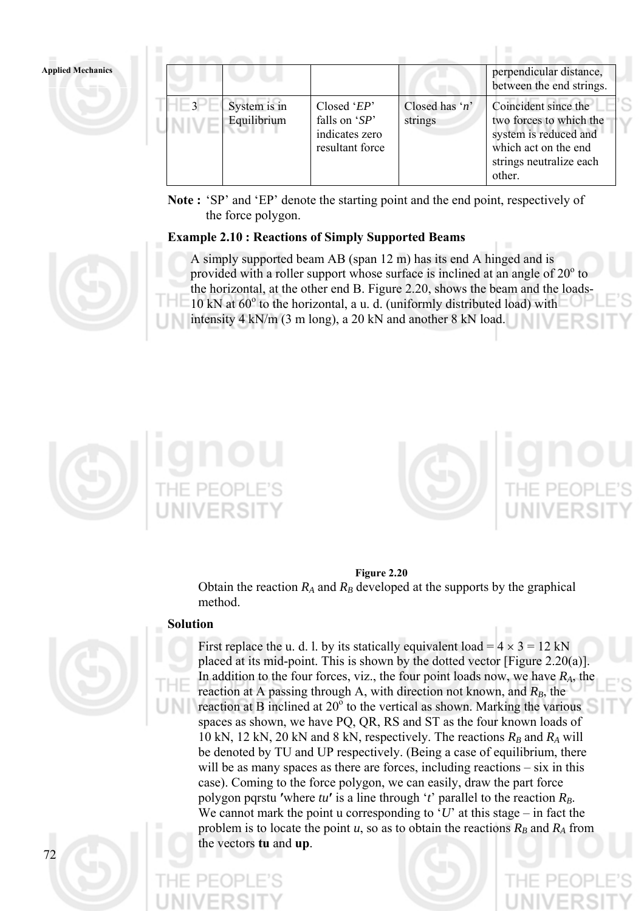| <b>Applied Mechanics</b> |      |                             |                                                                       |                           | perpendicular distance,<br>between the end strings.                                                                                   |
|--------------------------|------|-----------------------------|-----------------------------------------------------------------------|---------------------------|---------------------------------------------------------------------------------------------------------------------------------------|
|                          | $-3$ | System is in<br>Equilibrium | Closed ' $EP'$<br>falls on $SP'$<br>indicates zero<br>resultant force | Closed has 'n'<br>strings | Coincident since the<br>two forces to which the<br>system is reduced and<br>which act on the end<br>strings neutralize each<br>other. |

**Note :** 'SP' and 'EP' denote the starting point and the end point, respectively of the force polygon.

# **Example 2.10 : Reactions of Simply Supported Beams**



A simply supported beam AB (span 12 m) has its end A hinged and is provided with a roller support whose surface is inclined at an angle of  $20^{\circ}$  to the horizontal, at the other end B. Figure 2.20, shows the beam and the loads-10 kN at  $60^{\circ}$  to the horizontal, a u. d. (uniformly distributed load) with intensity 4 kN/m (3 m long), a 20 kN and another 8 kN load.





## **Figure 2.20**

Obtain the reaction  $R_A$  and  $R_B$  developed at the supports by the graphical method.

## **Solution**



72

First replace the u. d. l. by its statically equivalent load =  $4 \times 3 = 12$  kN placed at its mid-point. This is shown by the dotted vector [Figure 2.20(a)]. In addition to the four forces, viz., the four point loads now, we have *RA*, the reaction at A passing through A, with direction not known, and  $R_B$ , the reaction at B inclined at  $20^{\circ}$  to the vertical as shown. Marking the various spaces as shown, we have PQ, QR, RS and ST as the four known loads of 10 kN, 12 kN, 20 kN and 8 kN, respectively. The reactions  $R_B$  and  $R_A$  will be denoted by TU and UP respectively. (Being a case of equilibrium, there will be as many spaces as there are forces, including reactions – six in this case). Coming to the force polygon, we can easily, draw the part force polygon pqrstu 'where  $tu'$  is a line through ' $t'$  parallel to the reaction  $R_B$ . We cannot mark the point u corresponding to ' $U$ ' at this stage – in fact the problem is to locate the point  $u$ , so as to obtain the reactions  $R_B$  and  $R_A$  from the vectors **tu** and **up**.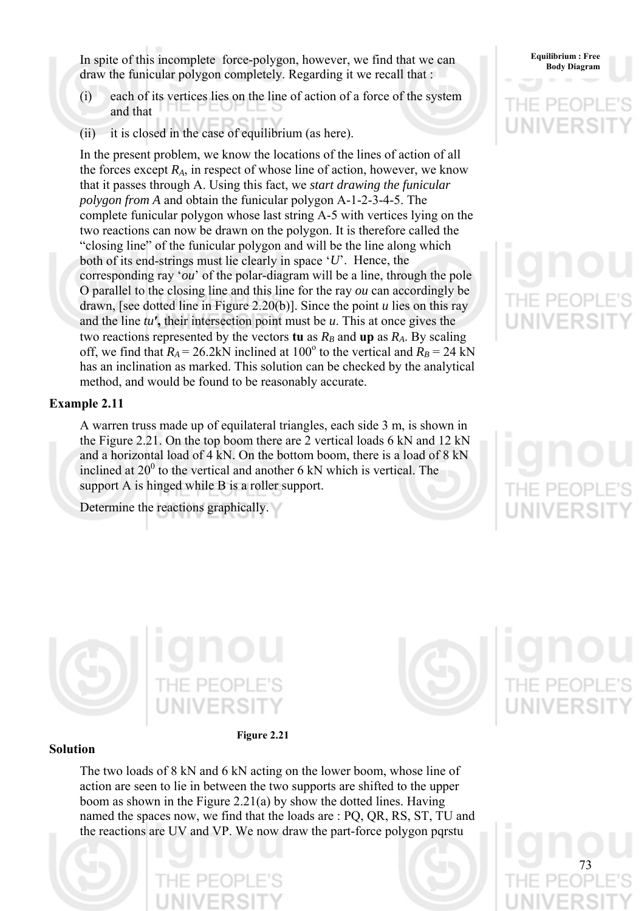In spite of this incomplete force-polygon, however, we find that we can **Body Diagram** Body Diagram draw the funicular polygon completely. Regarding it we recall that :

- (i) each of its vertices lies on the line of action of a force of the system and that
- (ii) it is closed in the case of equilibrium (as here).

In the present problem, we know the locations of the lines of action of all the forces except  $R_A$ , in respect of whose line of action, however, we know that it passes through A. Using this fact, we *start drawing the funicular polygon from A* and obtain the funicular polygon A-1-2-3-4-5. The complete funicular polygon whose last string A-5 with vertices lying on the two reactions can now be drawn on the polygon. It is therefore called the "closing line" of the funicular polygon and will be the line along which both of its end-strings must lie clearly in space '*U*'. Hence, the corresponding ray '*ou*' of the polar-diagram will be a line, through the pole O parallel to the closing line and this line for the ray *ou* can accordingly be drawn, [see dotted line in Figure 2.20(b)]. Since the point *u* lies on this ray and the line *tu***′,** their intersection point must be *u*. This at once gives the two reactions represented by the vectors **tu** as  $R_B$  and **up** as  $R_A$ . By scaling off, we find that  $R_A = 26.2$ kN inclined at 100<sup>°</sup> to the vertical and  $R_B = 24$  kN has an inclination as marked. This solution can be checked by the analytical method, and would be found to be reasonably accurate.

## **Example 2.11**

A warren truss made up of equilateral triangles, each side 3 m, is shown in the Figure 2.21. On the top boom there are 2 vertical loads 6 kN and 12 kN and a horizontal load of 4 kN. On the bottom boom, there is a load of 8 kN inclined at  $20^0$  to the vertical and another 6 kN which is vertical. The support A is hinged while B is a roller support.

Determine the reactions graphically.







73

## **Solution**

The two loads of 8 kN and 6 kN acting on the lower boom, whose line of action are seen to lie in between the two supports are shifted to the upper boom as shown in the Figure 2.21(a) by show the dotted lines. Having named the spaces now, we find that the loads are : PQ, QR, RS, ST, TU and the reactions are UV and VP. We now draw the part-force polygon pqrstu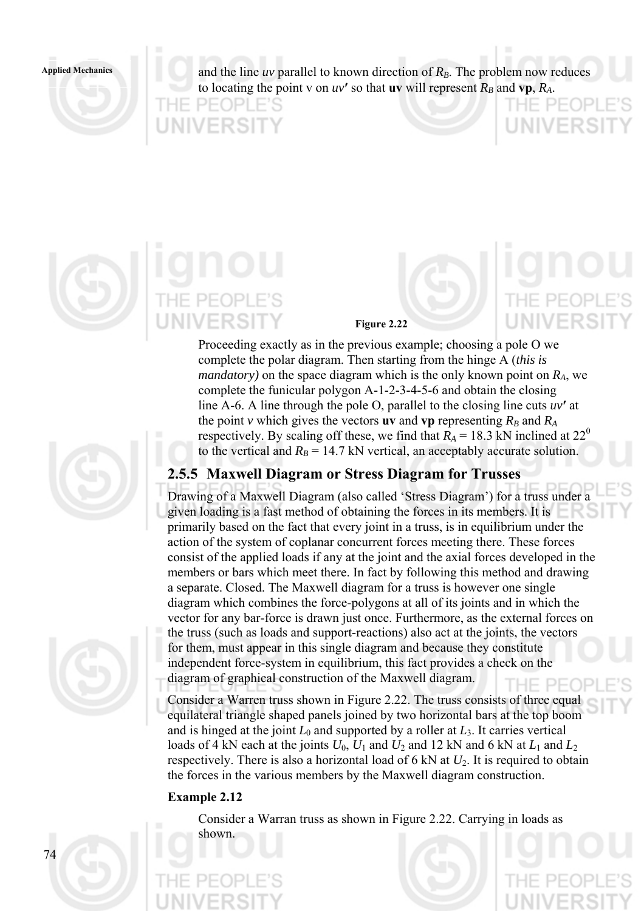Applied Mechanics and the line *uv* parallel to known direction of  $R_B$ . The problem now reduces to locating the point v on  $uv'$  so that **uv** will represent  $R_B$  and  $vp$ ,  $R_A$ .

THE PE(

**UNIVERS** 

INIVERSI



PEOPI

VIVERSIT

**Figure 2.22** 

Proceeding exactly as in the previous example; choosing a pole O we complete the polar diagram. Then starting from the hinge A (*this is mandatory)* on the space diagram which is the only known point on *RA*, we complete the funicular polygon A-1-2-3-4-5-6 and obtain the closing line A-6. A line through the pole O, parallel to the closing line cuts *uv***′** at the point *v* which gives the vectors **uv** and **vp** representing  $R_B$  and  $R_A$ respectively. By scaling off these, we find that  $R_A = 18.3$  kN inclined at  $22^{\circ}$ to the vertical and  $R_B = 14.7$  kN vertical, an acceptably accurate solution.

# **2.5.5 Maxwell Diagram or Stress Diagram for Trusses**

Drawing of a Maxwell Diagram (also called 'Stress Diagram') for a truss under a given loading is a fast method of obtaining the forces in its members. It is primarily based on the fact that every joint in a truss, is in equilibrium under the action of the system of coplanar concurrent forces meeting there. These forces consist of the applied loads if any at the joint and the axial forces developed in the members or bars which meet there. In fact by following this method and drawing a separate. Closed. The Maxwell diagram for a truss is however one single diagram which combines the force-polygons at all of its joints and in which the vector for any bar-force is drawn just once. Furthermore, as the external forces on the truss (such as loads and support-reactions) also act at the joints, the vectors for them, must appear in this single diagram and because they constitute independent force-system in equilibrium, this fact provides a check on the diagram of graphical construction of the Maxwell diagram.

Consider a Warren truss shown in Figure 2.22. The truss consists of three equal equilateral triangle shaped panels joined by two horizontal bars at the top boom and is hinged at the joint  $L_0$  and supported by a roller at  $L_3$ . It carries vertical loads of 4 kN each at the joints  $U_0$ ,  $U_1$  and  $U_2$  and 12 kN and 6 kN at  $L_1$  and  $L_2$ respectively. There is also a horizontal load of 6 kN at *U*2. It is required to obtain the forces in the various members by the Maxwell diagram construction.

# **Example 2.12**

 $74$ 

Consider a Warran truss as shown in Figure 2.22. Carrying in loads as shown.